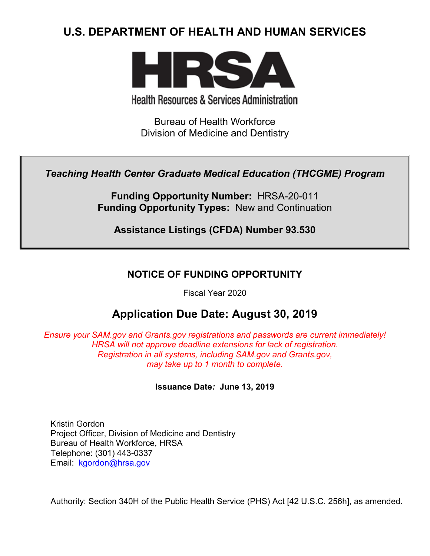# **U.S. DEPARTMENT OF HEALTH AND HUMAN SERVICES**



**Health Resources & Services Administration** 

Bureau of Health Workforce Division of Medicine and Dentistry

*Teaching Health Center Graduate Medical Education (THCGME) Program*

**Funding Opportunity Number:** HRSA-20-011 **Funding Opportunity Types:** New and Continuation

**Assistance Listings (CFDA) Number 93.530**

## **NOTICE OF FUNDING OPPORTUNITY**

Fiscal Year 2020

## **Application Due Date: August 30, 2019**

*Ensure your SAM.gov and Grants.gov registrations and passwords are current immediately! HRSA will not approve deadline extensions for lack of registration. Registration in all systems, including SAM.gov and Grants.gov, may take up to 1 month to complete.*

**Issuance Date***:* **June 13, 2019**

Kristin Gordon Project Officer, Division of Medicine and Dentistry Bureau of Health Workforce, HRSA Telephone: (301) 443-0337 Email: [kgordon@hrsa.gov](mailto:kgordon@hrsa.gov)

Authority: Section 340H of the Public Health Service (PHS) Act [42 U.S.C. 256h], as amended.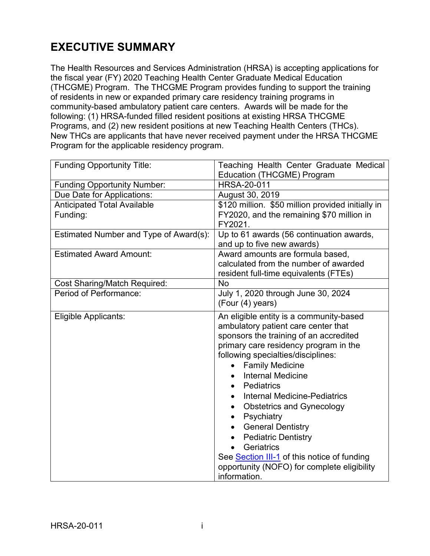# **EXECUTIVE SUMMARY**

The Health Resources and Services Administration (HRSA) is accepting applications for the fiscal year (FY) 2020 Teaching Health Center Graduate Medical Education (THCGME) Program. The THCGME Program provides funding to support the training of residents in new or expanded primary care residency training programs in community-based ambulatory patient care centers. Awards will be made for the following: (1) HRSA-funded filled resident positions at existing HRSA THCGME Programs, and (2) new resident positions at new Teaching Health Centers (THCs). New THCs are applicants that have never received payment under the HRSA THCGME Program for the applicable residency program.

| <b>Funding Opportunity Title:</b>      | Teaching Health Center Graduate Medical<br><b>Education (THCGME) Program</b>                                                                                                                                                                                                                                                                                                                                                                                                                                                                                                                                                |
|----------------------------------------|-----------------------------------------------------------------------------------------------------------------------------------------------------------------------------------------------------------------------------------------------------------------------------------------------------------------------------------------------------------------------------------------------------------------------------------------------------------------------------------------------------------------------------------------------------------------------------------------------------------------------------|
| <b>Funding Opportunity Number:</b>     | <b>HRSA-20-011</b>                                                                                                                                                                                                                                                                                                                                                                                                                                                                                                                                                                                                          |
| Due Date for Applications:             | August 30, 2019                                                                                                                                                                                                                                                                                                                                                                                                                                                                                                                                                                                                             |
| <b>Anticipated Total Available</b>     | \$120 million. \$50 million provided initially in                                                                                                                                                                                                                                                                                                                                                                                                                                                                                                                                                                           |
| Funding:                               | FY2020, and the remaining \$70 million in<br>FY2021.                                                                                                                                                                                                                                                                                                                                                                                                                                                                                                                                                                        |
| Estimated Number and Type of Award(s): | Up to 61 awards (56 continuation awards,<br>and up to five new awards)                                                                                                                                                                                                                                                                                                                                                                                                                                                                                                                                                      |
| <b>Estimated Award Amount:</b>         | Award amounts are formula based,<br>calculated from the number of awarded<br>resident full-time equivalents (FTEs)                                                                                                                                                                                                                                                                                                                                                                                                                                                                                                          |
| <b>Cost Sharing/Match Required:</b>    | <b>No</b>                                                                                                                                                                                                                                                                                                                                                                                                                                                                                                                                                                                                                   |
| Period of Performance:                 | July 1, 2020 through June 30, 2024<br>(Four (4) years)                                                                                                                                                                                                                                                                                                                                                                                                                                                                                                                                                                      |
| Eligible Applicants:                   | An eligible entity is a community-based<br>ambulatory patient care center that<br>sponsors the training of an accredited<br>primary care residency program in the<br>following specialties/disciplines:<br><b>Family Medicine</b><br>$\bullet$<br><b>Internal Medicine</b><br>Pediatrics<br><b>Internal Medicine-Pediatrics</b><br><b>Obstetrics and Gynecology</b><br>$\bullet$<br>Psychiatry<br>$\bullet$<br><b>General Dentistry</b><br>$\bullet$<br><b>Pediatric Dentistry</b><br>$\bullet$<br>Geriatrics<br>See Section III-1 of this notice of funding<br>opportunity (NOFO) for complete eligibility<br>information. |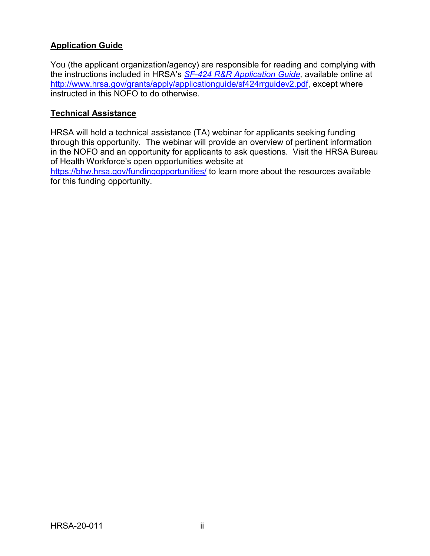## **Application Guide**

You (the applicant organization/agency) are responsible for reading and complying with the instructions included in HRSA's *SF-424 [R&R Application Guide,](http://www.hrsa.gov/grants/apply/applicationguide/sf424rrguidev2.pdf)* available online at [http://www.hrsa.gov/grants/apply/applicationguide/sf424rrguidev2.pdf,](http://www.hrsa.gov/grants/apply/applicationguide/sf424rrguidev2.pdf) except where instructed in this NOFO to do otherwise.

## **Technical Assistance**

HRSA will hold a technical assistance (TA) webinar for applicants seeking funding through this opportunity. The webinar will provide an overview of pertinent information in the NOFO and an opportunity for applicants to ask questions. Visit the HRSA Bureau of Health Workforce's open opportunities website at

<https://bhw.hrsa.gov/fundingopportunities/> to learn more about the resources available for this funding opportunity.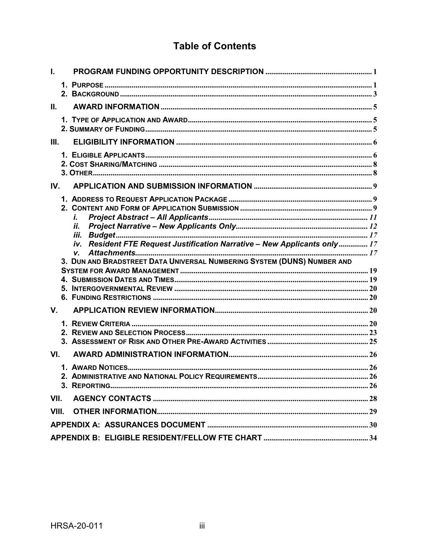## **Table of Contents**

| L.    |                                                                           |  |
|-------|---------------------------------------------------------------------------|--|
|       |                                                                           |  |
| II.   |                                                                           |  |
|       |                                                                           |  |
| III.  |                                                                           |  |
|       |                                                                           |  |
| IV.   |                                                                           |  |
|       |                                                                           |  |
|       | i.                                                                        |  |
|       | İİ.                                                                       |  |
|       | iv. Resident FTE Request Justification Narrative - New Applicants only 17 |  |
|       | V.                                                                        |  |
|       | 3. DUN AND BRADSTREET DATA UNIVERSAL NUMBERING SYSTEM (DUNS) NUMBER AND   |  |
|       |                                                                           |  |
|       |                                                                           |  |
|       |                                                                           |  |
|       |                                                                           |  |
| V.    |                                                                           |  |
|       |                                                                           |  |
|       |                                                                           |  |
|       |                                                                           |  |
| VI.   |                                                                           |  |
|       |                                                                           |  |
|       |                                                                           |  |
|       |                                                                           |  |
| VII.  |                                                                           |  |
| VIII. |                                                                           |  |
|       |                                                                           |  |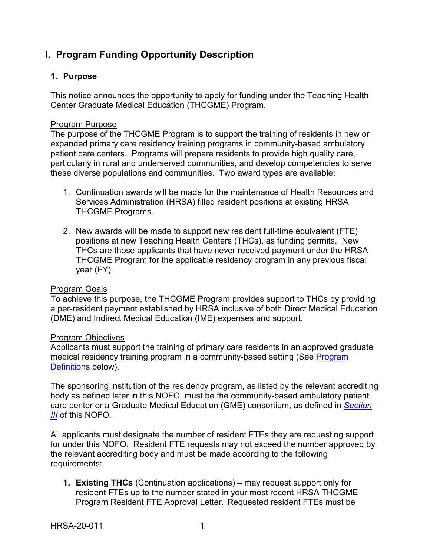## <span id="page-4-0"></span>**I. Program Funding Opportunity Description**

### <span id="page-4-1"></span>**1. Purpose**

This notice announces the opportunity to apply for funding under the Teaching Health Center Graduate Medical Education (THCGME) Program.

#### Program Purpose

The purpose of the THCGME Program is to support the training of residents in new or expanded primary care residency training programs in community-based ambulatory patient care centers. Programs will prepare residents to provide high quality care, particularly in rural and underserved communities, and develop competencies to serve these diverse populations and communities. Two award types are available:

- 1. Continuation awards will be made for the maintenance of Health Resources and Services Administration (HRSA) filled resident positions at existing HRSA THCGME Programs.
- 2. New awards will be made to support new resident full-time equivalent (FTE) positions at new Teaching Health Centers (THCs), as funding permits. New THCs are those applicants that have never received payment under the HRSA THCGME Program for the applicable residency program in any previous fiscal year (FY).

#### Program Goals

To achieve this purpose, the THCGME Program provides support to THCs by providing a per-resident payment established by HRSA inclusive of both Direct Medical Education (DME) and Indirect Medical Education (IME) expenses and support.

#### Program Objectives

Applicants must support the training of primary care residents in an approved graduate medical residency training program in a community-based setting (See [Program](#page-5-0)  [Definitions](#page-5-0) below).

The sponsoring institution of the residency program, as listed by the relevant accrediting body as defined later in this NOFO, must be the community-based ambulatory patient care center or a Graduate Medical Education (GME) consortium, as defined in *[Section](#page-9-1)  [III](#page-9-1)* of this NOFO.

All applicants must designate the number of resident FTEs they are requesting support for under this NOFO. Resident FTE requests may not exceed the number approved by the relevant accrediting body and must be made according to the following requirements:

**1. Existing THCs** (Continuation applications) – may request support only for resident FTEs up to the number stated in your most recent HRSA THCGME Program Resident FTE Approval Letter. Requested resident FTEs must be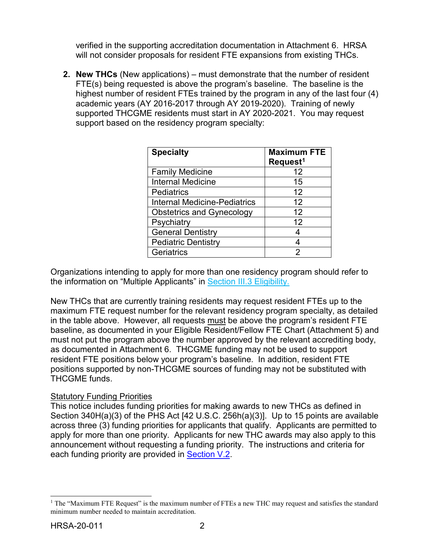verified in the supporting accreditation documentation in Attachment 6. HRSA will not consider proposals for resident FTE expansions from existing THCs.

**2. New THCs** (New applications) – must demonstrate that the number of resident FTE(s) being requested is above the program's baseline. The baseline is the highest number of resident FTEs trained by the program in any of the last four (4) academic years (AY 2016-2017 through AY 2019-2020). Training of newly supported THCGME residents must start in AY 2020-2021. You may request support based on the residency program specialty:

| <b>Specialty</b>                 | <b>Maximum FTE</b><br>Request <sup>1</sup> |
|----------------------------------|--------------------------------------------|
| <b>Family Medicine</b>           | 12                                         |
| <b>Internal Medicine</b>         | 15                                         |
| <b>Pediatrics</b>                | 12                                         |
| Internal Medicine-Pediatrics     | 12                                         |
| <b>Obstetrics and Gynecology</b> | 12                                         |
| Psychiatry                       | 12                                         |
| <b>General Dentistry</b>         |                                            |
| <b>Pediatric Dentistry</b>       |                                            |
| Geriatrics                       | 2                                          |

Organizations intending to apply for more than one residency program should refer to the information on "Multiple Applicants" in Section III.3 Eligibility.

New THCs that are currently training residents may request resident FTEs up to the maximum FTE request number for the relevant residency program specialty, as detailed in the table above. However, all requests must be above the program's resident FTE baseline, as documented in your Eligible Resident/Fellow FTE Chart (Attachment 5) and must not put the program above the number approved by the relevant accrediting body, as documented in Attachment 6. THCGME funding may not be used to support resident FTE positions below your program's baseline. In addition, resident FTE positions supported by non-THCGME sources of funding may not be substituted with THCGME funds.

## **Statutory Funding Priorities**

This notice includes funding priorities for making awards to new THCs as defined in Section 340H(a)(3) of the PHS Act [42 U.S.C. 256h(a)(3)]. Up to 15 points are available across three (3) funding priorities for applicants that qualify. Applicants are permitted to apply for more than one priority. Applicants for new THC awards may also apply to this announcement without requesting a funding priority. The instructions and criteria for each funding priority are provided in [Section V.2.](#page-26-0)

<span id="page-5-1"></span><span id="page-5-0"></span><sup>&</sup>lt;sup>1</sup> The "Maximum FTE Request" is the maximum number of FTEs a new THC may request and satisfies the standard minimum number needed to maintain accreditation.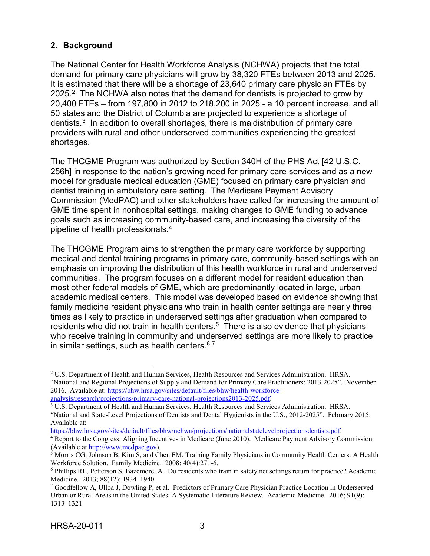## <span id="page-6-0"></span>**2. Background**

The [National Center for Health Workforce Analysis](https://bhw.hrsa.gov/national-center-health-workforce-analysis) (NCHWA) projects that the total demand for primary care physicians will grow by 38,320 FTEs between 2013 and 2025. It is estimated that there will be a shortage of 23,640 primary care physician FTEs by [2](#page-6-1)025.<sup>2</sup> The NCHWA also notes that the demand for dentists is projected to grow by 20,400 FTEs – from 197,800 in 2012 to 218,200 in 2025 - a 10 percent increase, and all 50 states and the District of Columbia are projected to experience a shortage of dentists.[3](#page-6-2) In addition to overall shortages, there is maldistribution of primary care providers with rural and other underserved communities experiencing the greatest shortages.

The THCGME Program was authorized by Section 340H of the PHS Act [42 U.S.C. 256h] in response to the nation's growing need for primary care services and as a new model for graduate medical education (GME) focused on primary care physician and dentist training in ambulatory care setting. The Medicare Payment Advisory Commission (MedPAC) and other stakeholders have called for increasing the amount of GME time spent in nonhospital settings, making changes to GME funding to advance goals such as increasing community-based care, and increasing the diversity of the pipeline of health professionals.[4](#page-6-3)

The THCGME Program aims to strengthen the primary care workforce by supporting medical and dental training programs in primary care, community-based settings with an emphasis on improving the distribution of this health workforce in rural and underserved communities. The program focuses on a different model for resident education than most other federal models of GME, which are predominantly located in large, urban academic medical centers. This model was developed based on evidence showing that family medicine resident physicians who train in health center settings are nearly three times as likely to practice in underserved settings after graduation when compared to residents who did not train in health centers. [5](#page-6-4) There is also evidence that physicians who receive training in community and underserved settings are more likely to practice in similar settings, such as health centers.  $6,7$  $6,7$  $6,7$ 

[https://bhw.hrsa.gov/sites/default/files/bhw/nchwa/projections/nationalstatelevelprojectionsdentists.pdf.](https://bhw.hrsa.gov/sites/default/files/bhw/nchwa/projections/nationalstatelevelprojectionsdentists.pdf) 4 Report to the Congress: Aligning Incentives in Medicare (June 2010). Medicare Payment Advisory Commission.

<span id="page-6-1"></span><sup>&</sup>lt;sup>2</sup> U.S. Department of Health and Human Services, Health Resources and Services Administration. HRSA. "National and Regional Projections of Supply and Demand for Primary Care Practitioners: 2013-2025". November 2016. Available at: [https://bhw.hrsa.gov/sites/default/files/bhw/health-workforce](https://bhw.hrsa.gov/sites/default/files/bhw/health-workforce-analysis/research/projections/primary-care-national-projections2013-2025.pdf)[analysis/research/projections/primary-care-national-projections2013-2025.pdf.](https://bhw.hrsa.gov/sites/default/files/bhw/health-workforce-analysis/research/projections/primary-care-national-projections2013-2025.pdf)

<span id="page-6-2"></span><sup>3</sup> U.S. Department of Health and Human Services, Health Resources and Services Administration. HRSA. "National and State-Level Projections of Dentists and Dental Hygienists in the U.S., 2012-2025". February 2015. Available at:

<span id="page-6-3"></span><sup>(</sup>Available at [http://www.medpac.gov\)](http://www.medpac.gov/).

<span id="page-6-4"></span><sup>&</sup>lt;sup>5</sup> Morris CG, Johnson B, Kim S, and Chen FM. Training Family Physicians in Community Health Centers: A Health Workforce Solution. Family Medicine. 2008; 40(4):271-6.

<span id="page-6-5"></span><sup>6</sup> Phillips RL, Petterson S, Bazemore, A. Do residents who train in safety net settings return for practice? Academic Medicine. 2013; 88(12): 1934–1940.

<span id="page-6-6"></span><sup>7</sup> Goodfellow A, Ulloa J, Dowling P, et al. Predictors of Primary Care Physician Practice Location in Underserved Urban or Rural Areas in the United States: A Systematic Literature Review. Academic Medicine. 2016; 91(9): 1313–1321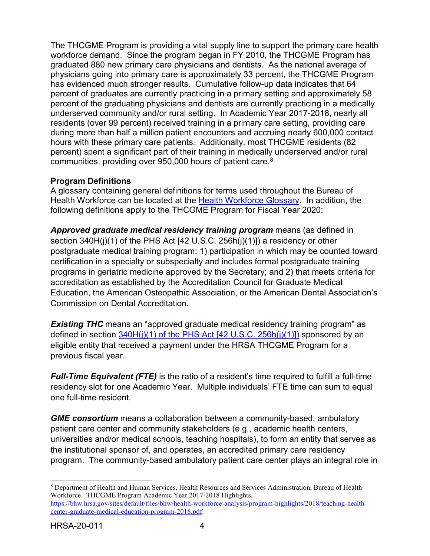The THCGME Program is providing a vital supply line to support the primary care health workforce demand. Since the program began in FY 2010, the THCGME Program has graduated 880 new primary care physicians and dentists. As the national average of physicians going into primary care is approximately 33 percent, the THCGME Program has evidenced much stronger results. Cumulative follow-up data indicates that 64 percent of graduates are currently practicing in a primary setting and approximately 58 percent of the graduating physicians and dentists are currently practicing in a medically underserved community and/or rural setting. In Academic Year 2017-2018, nearly all residents (over 99 percent) received training in a primary care setting, providing care during more than half a million patient encounters and accruing nearly 600,000 contact hours with these primary care patients. Additionally, most THCGME residents (82 percent) spent a significant part of their training in medically underserved and/or rural communities, providing over 950,000 hours of patient care. $^8$  $^8$ 

## **Program Definitions**

A glossary containing general definitions for terms used throughout the Bureau of Health Workforce can be located at the [Health Workforce Glossary.](https://bhw.hrsa.gov/grants/resourcecenter/glossary) In addition, the following definitions apply to the THCGME Program for Fiscal Year 2020:

*Approved graduate medical residency training program* means (as defined in section 340H(j)(1) of the PHS Act [42 U.S.C. 256h(j)(1)]) a residency or other postgraduate medical training program: 1) participation in which may be counted toward certification in a specialty or subspecialty and includes formal postgraduate training programs in geriatric medicine approved by the Secretary; and 2) that meets criteria for accreditation as established by the Accreditation Council for Graduate Medical Education, the American Osteopathic Association, or the American Dental Association's Commission on Dental Accreditation.

**Existing THC** means an "approved graduate medical residency training program" as defined in section  $340H(i)(1)$  of the PHS Act  $[42 U.S.C. 256h(i)(1)]$  sponsored by an eligible entity that received a payment under the HRSA THCGME Program for a previous fiscal year.

*Full-Time Equivalent (FTE)* is the ratio of a resident's time required to fulfill a full-time residency slot for one Academic Year. Multiple individuals' FTE time can sum to equal one full-time resident.

*GME consortium* means a collaboration between a community-based, ambulatory patient care center and community stakeholders (e.g., academic health centers, universities and/or medical schools, teaching hospitals), to form an entity that serves as the institutional sponsor of, and operates, an accredited primary care residency program. The community-based ambulatory patient care center plays an integral role in

<span id="page-7-0"></span> <sup>8</sup> Department of Health and Human Services, Health Resources and Services Administration, Bureau of Health Workforce. THCGME Program Academic Year 2017-2018 Highlights. [https://bhw.hrsa.gov/sites/default/files/bhw/health-workforce-analysis/program-highlights/2018/teaching-health](https://bhw.hrsa.gov/sites/default/files/bhw/health-workforce-analysis/program-highlights/2018/teaching-health-center-graduate-medical-education-program-2018.pdf)[center-graduate-medical-education-program-2018.pdf.](https://bhw.hrsa.gov/sites/default/files/bhw/health-workforce-analysis/program-highlights/2018/teaching-health-center-graduate-medical-education-program-2018.pdf)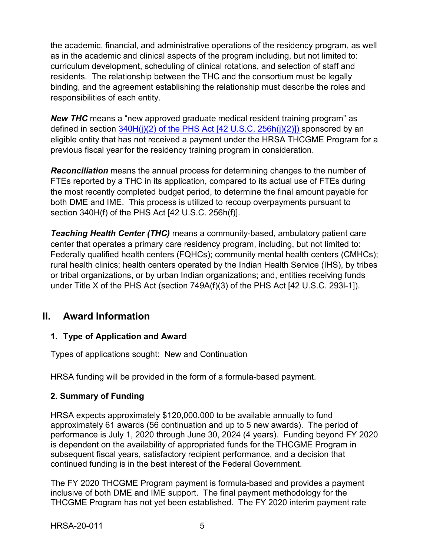the academic, financial, and administrative operations of the residency program, as well as in the academic and clinical aspects of the program including, but not limited to: curriculum development, scheduling of clinical rotations, and selection of staff and residents. The relationship between the THC and the consortium must be legally binding, and the agreement establishing the relationship must describe the roles and responsibilities of each entity.

*New THC* means a "new approved graduate medical resident training program" as defined in section  $340H(i)(2)$  of the PHS Act [42 U.S.C. 256h(j)(2)]) sponsored by an eligible entity that has not received a payment under the HRSA THCGME Program for a previous fiscal year for the residency training program in consideration.

*Reconciliation* means the annual process for determining changes to the number of FTEs reported by a THC in its application, compared to its actual use of FTEs during the most recently completed budget period, to determine the final amount payable for both DME and IME. This process is utilized to recoup overpayments pursuant to section 340H(f) of the PHS Act [42 U.S.C. 256h(f)].

*Teaching Health Center (THC)* means a community-based, ambulatory patient care center that operates a primary care residency program, including, but not limited to: Federally qualified health centers (FQHCs); community mental health centers (CMHCs); rural health clinics; health centers operated by the Indian Health Service (IHS), by tribes or tribal organizations, or by urban Indian organizations; and, entities receiving funds under Title X of the PHS Act (section 749A(f)(3) of the PHS Act [42 U.S.C. 293l-1]).

## <span id="page-8-0"></span>**II. Award Information**

## <span id="page-8-1"></span>**1. Type of Application and Award**

Types of applications sought: New and Continuation

HRSA funding will be provided in the form of a formula-based payment.

## <span id="page-8-2"></span>**2. Summary of Funding**

HRSA expects approximately \$120,000,000 to be available annually to fund approximately 61 awards (56 continuation and up to 5 new awards). The period of performance is July 1, 2020 through June 30, 2024 (4 years). Funding beyond FY 2020 is dependent on the availability of appropriated funds for the THCGME Program in subsequent fiscal years, satisfactory recipient performance, and a decision that continued funding is in the best interest of the Federal Government.

The FY 2020 THCGME Program payment is formula-based and provides a payment inclusive of both DME and IME support. The final payment methodology for the THCGME Program has not yet been established. The FY 2020 interim payment rate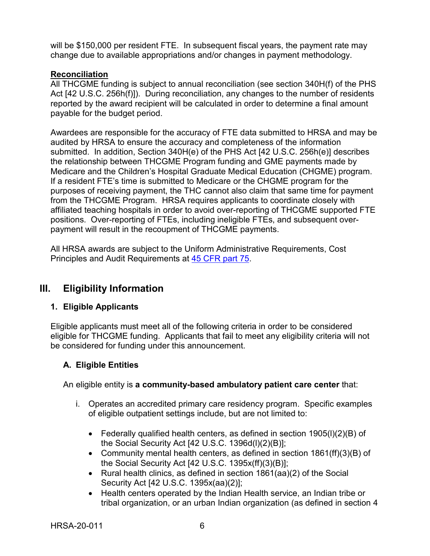will be \$150,000 per resident FTE. In subsequent fiscal years, the payment rate may change due to available appropriations and/or changes in payment methodology.

### **Reconciliation**

All THCGME funding is subject to annual reconciliation (see section 340H(f) of the PHS Act [42 U.S.C. 256h(f)]). During reconciliation, any changes to the number of residents reported by the award recipient will be calculated in order to determine a final amount payable for the budget period.

Awardees are responsible for the accuracy of FTE data submitted to HRSA and may be audited by HRSA to ensure the accuracy and completeness of the information submitted. In addition, Section 340H(e) of the PHS Act [42 U.S.C. 256h(e)] describes the relationship between THCGME Program funding and GME payments made by Medicare and the Children's Hospital Graduate Medical Education (CHGME) program. If a resident FTE's time is submitted to Medicare or the CHGME program for the purposes of receiving payment, the THC cannot also claim that same time for payment from the THCGME Program. HRSA requires applicants to coordinate closely with affiliated teaching hospitals in order to avoid over-reporting of THCGME supported FTE positions. Over-reporting of FTEs, including ineligible FTEs, and subsequent overpayment will result in the recoupment of THCGME payments.

All HRSA awards are subject to the Uniform Administrative Requirements, Cost Principles and Audit Requirements at [45 CFR part 75.](http://www.ecfr.gov/cgi-bin/retrieveECFR?gp=1&SID=4d52364ec83fab994c665943dadf9cf7&ty=HTML&h=L&r=PART&n=pt45.1.75)

## <span id="page-9-1"></span>**III. Eligibility Information**

## <span id="page-9-0"></span>**1. Eligible Applicants**

Eligible applicants must meet all of the following criteria in order to be considered eligible for THCGME funding. Applicants that fail to meet any eligibility criteria will not be considered for funding under this announcement.

## **A. Eligible Entities**

An eligible entity is **a community-based ambulatory patient care center** that:

- i. Operates an accredited primary care residency program. Specific examples of eligible outpatient settings include, but are not limited to:
	- Federally qualified health centers, as defined in section 1905(l)(2)(B) of the Social Security Act [42 U.S.C. 1396d(l)(2)(B)];
	- Community mental health centers, as defined in section 1861(ff)(3)(B) of the Social Security Act [42 U.S.C. 1395x(ff)(3)(B)];
	- Rural health clinics, as defined in section 1861(aa)(2) of the Social Security Act [42 U.S.C. 1395x(aa)(2)];
	- Health centers operated by the Indian Health service, an Indian tribe or tribal organization, or an urban Indian organization (as defined in section 4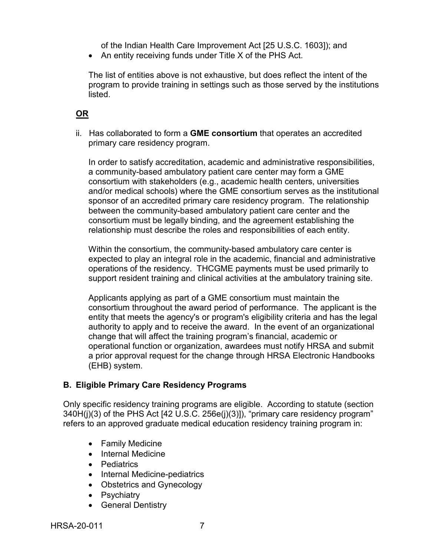of the Indian Health Care Improvement Act [25 U.S.C. 1603]); and

• An entity receiving funds under Title X of the PHS Act.

The list of entities above is not exhaustive, but does reflect the intent of the program to provide training in settings such as those served by the institutions listed.

## **OR**

ii. Has collaborated to form a **GME consortium** that operates an accredited primary care residency program.

In order to satisfy accreditation, academic and administrative responsibilities, a community-based ambulatory patient care center may form a GME consortium with stakeholders (e.g., academic health centers, universities and/or medical schools) where the GME consortium serves as the institutional sponsor of an accredited primary care residency program. The relationship between the community-based ambulatory patient care center and the consortium must be legally binding, and the agreement establishing the relationship must describe the roles and responsibilities of each entity.

Within the consortium, the community-based ambulatory care center is expected to play an integral role in the academic, financial and administrative operations of the residency. THCGME payments must be used primarily to support resident training and clinical activities at the ambulatory training site.

Applicants applying as part of a GME consortium must maintain the consortium throughout the award period of performance. The applicant is the entity that meets the agency's or program's eligibility criteria and has the legal authority to apply and to receive the award. In the event of an organizational change that will affect the training program's financial, academic or operational function or organization, awardees must notify HRSA and submit a prior approval request for the change through HRSA Electronic Handbooks (EHB) system.

## **B. Eligible Primary Care Residency Programs**

Only specific residency training programs are eligible. According to statute (section 340H(j)(3) of the PHS Act [42 U.S.C. 256e(j)(3)]), "primary care residency program" refers to an approved graduate medical education residency training program in:

- Family Medicine
- Internal Medicine
- Pediatrics
- Internal Medicine-pediatrics
- Obstetrics and Gynecology
- Psychiatry
- General Dentistry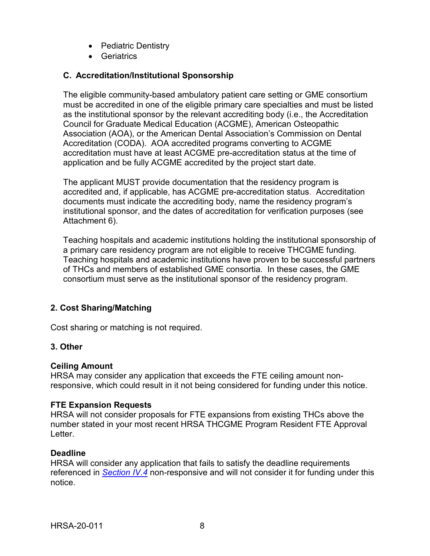- Pediatric Dentistry
- Geriatrics

## **C. Accreditation/Institutional Sponsorship**

The eligible community-based ambulatory patient care setting or GME consortium must be accredited in one of the eligible primary care specialties and must be listed as the institutional sponsor by the relevant accrediting body (i.e., the Accreditation Council for Graduate Medical Education (ACGME), American Osteopathic Association (AOA), or the American Dental Association's Commission on Dental Accreditation (CODA). AOA accredited programs converting to ACGME accreditation must have at least ACGME pre-accreditation status at the time of application and be fully ACGME accredited by the project start date.

The applicant MUST provide documentation that the residency program is accredited and, if applicable, has ACGME pre-accreditation status. Accreditation documents must indicate the accrediting body, name the residency program's institutional sponsor, and the dates of accreditation for verification purposes (see Attachment 6).

Teaching hospitals and academic institutions holding the institutional sponsorship of a primary care residency program are not eligible to receive THCGME funding. Teaching hospitals and academic institutions have proven to be successful partners of THCs and members of established GME consortia. In these cases, the GME consortium must serve as the institutional sponsor of the residency program.

## <span id="page-11-0"></span>**2. Cost Sharing/Matching**

Cost sharing or matching is not required.

## <span id="page-11-1"></span>**3. Other**

#### **Ceiling Amount**

HRSA may consider any application that exceeds the FTE ceiling amount nonresponsive, which could result in it not being considered for funding under this notice.

#### **FTE Expansion Requests**

HRSA will not consider proposals for FTE expansions from existing THCs above the number stated in your most recent HRSA THCGME Program Resident FTE Approval Letter.

#### **Deadline**

HRSA will consider any application that fails to satisfy the deadline requirements referenced in *[Section IV.4](#page-22-1)* non-responsive and will not consider it for funding under this notice.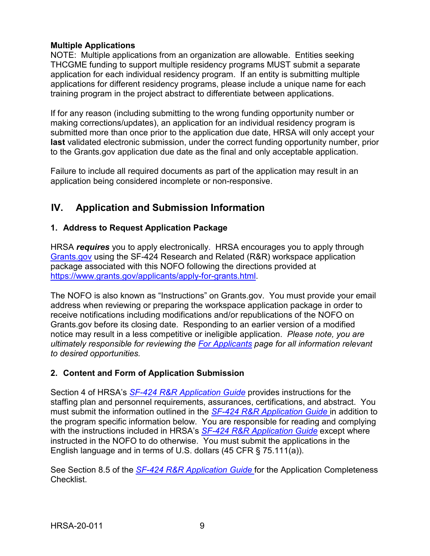### **Multiple Applications**

NOTE: Multiple applications from an organization are allowable. Entities seeking THCGME funding to support multiple residency programs MUST submit a separate application for each individual residency program. If an entity is submitting multiple applications for different residency programs, please include a unique name for each training program in the project abstract to differentiate between applications.

If for any reason (including submitting to the wrong funding opportunity number or making corrections/updates), an application for an individual residency program is submitted more than once prior to the application due date, HRSA will only accept your **last** validated electronic submission, under the correct funding opportunity number, prior to the Grants.gov application due date as the final and only acceptable application.

Failure to include all required documents as part of the application may result in an application being considered incomplete or non-responsive.

## <span id="page-12-0"></span>**IV. Application and Submission Information**

## <span id="page-12-1"></span>**1. Address to Request Application Package**

HRSA *requires* you to apply electronically. HRSA encourages you to apply through [Grants.gov](https://www.grants.gov/) using the SF-424 Research and Related (R&R) workspace application package associated with this NOFO following the directions provided at [https://www.grants.gov/applicants/apply-for-grants.html.](https://www.grants.gov/applicants/apply-for-grants.html)

The NOFO is also known as "Instructions" on Grants.gov. You must provide your email address when reviewing or preparing the workspace application package in order to receive notifications including modifications and/or republications of the NOFO on Grants.gov before its closing date. Responding to an earlier version of a modified notice may result in a less competitive or ineligible application. *Please note, you are ultimately responsible for reviewing the [For Applicants](https://www.grants.gov/web/grants/applicants.html) page for all information relevant to desired opportunities.*

## <span id="page-12-2"></span>**2. Content and Form of Application Submission**

Section 4 of HRSA's *SF-424 R&R [Application Guide](http://www.hrsa.gov/grants/apply/applicationguide/sf424rrguidev2.pdf)* provides instructions for the staffing plan and personnel requirements, assurances, certifications, and abstract. You must submit the information outlined in the *SF-424 R&R [Application Guide](http://www.hrsa.gov/grants/apply/applicationguide/sf424rrguidev2.pdf)* in addition to the program specific information below. You are responsible for reading and complying with the instructions included in HRSA's *SF-424 R&R [Application Guide](http://www.hrsa.gov/grants/apply/applicationguide/sf424rrguidev2.pdf)* except where instructed in the NOFO to do otherwise. You must submit the applications in the English language and in terms of U.S. dollars (45 CFR § 75.111(a)).

See Section 8.5 of the *SF-424 R&R [Application Guide](http://www.hrsa.gov/grants/apply/applicationguide/sf424rrguidev2.pdf)* for the Application Completeness Checklist.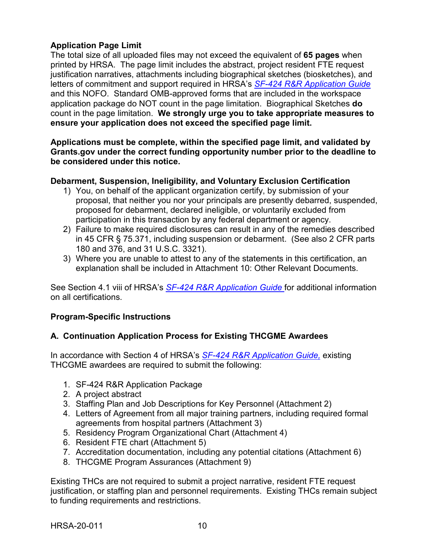### **Application Page Limit**

The total size of all uploaded files may not exceed the equivalent of **65 pages** when printed by HRSA. The page limit includes the abstract, project resident FTE request justification narratives, attachments including biographical sketches (biosketches), and letters of commitment and support required in HRSA's *SF-424 R&R [Application Guide](http://www.hrsa.gov/grants/apply/applicationguide/sf424rrguidev2.pdf)* and this NOFO. Standard OMB-approved forms that are included in the workspace application package do NOT count in the page limitation. Biographical Sketches **do** count in the page limitation. **We strongly urge you to take appropriate measures to ensure your application does not exceed the specified page limit.**

**Applications must be complete, within the specified page limit, and validated by Grants.gov under the correct funding opportunity number prior to the deadline to be considered under this notice.**

### **Debarment, Suspension, Ineligibility, and Voluntary Exclusion Certification**

- 1) You, on behalf of the applicant organization certify, by submission of your proposal, that neither you nor your principals are presently debarred, suspended, proposed for debarment, declared ineligible, or voluntarily excluded from participation in this transaction by any federal department or agency.
- 2) Failure to make required disclosures can result in any of the remedies described in 45 CFR § 75.371, including suspension or debarment. (See also 2 CFR parts 180 and 376, and 31 U.S.C. 3321).
- 3) Where you are unable to attest to any of the statements in this certification, an explanation shall be included in Attachment 10: Other Relevant Documents.

See Section 4.1 viii of HRSA's *SF-424 R&R [Application Guide](http://www.hrsa.gov/grants/apply/applicationguide/sf424rrguidev2.pdf)* for additional information on all certifications.

## **Program-Specific Instructions**

## **A. Continuation Application Process for Existing THCGME Awardees**

In accordance with Section 4 of HRSA's *SF-424 R&R [Application Guide,](http://www.hrsa.gov/grants/apply/applicationguide/sf424rrguidev2.pdf)* existing THCGME awardees are required to submit the following:

- 1. SF-424 R&R Application Package
- 2. A project abstract
- 3. Staffing Plan and Job Descriptions for Key Personnel (Attachment 2)
- 4. Letters of Agreement from all major training partners, including required formal agreements from hospital partners (Attachment 3)
- 5. Residency Program Organizational Chart (Attachment 4)
- 6. Resident FTE chart (Attachment 5)
- 7. Accreditation documentation, including any potential citations (Attachment 6)
- 8. THCGME Program Assurances (Attachment 9)

Existing THCs are not required to submit a project narrative, resident FTE request justification, or staffing plan and personnel requirements. Existing THCs remain subject to funding requirements and restrictions.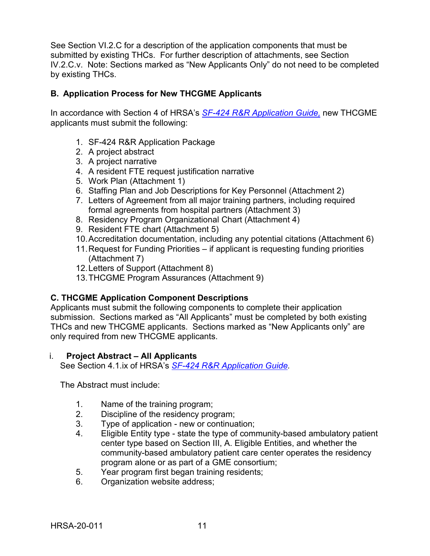See Section VI.2.C for a description of the application components that must be submitted by existing THCs. For further description of attachments, see Section IV.2.C.v. Note: Sections marked as "New Applicants Only" do not need to be completed by existing THCs.

### **B. Application Process for New THCGME Applicants**

In accordance with Section 4 of HRSA's *SF-424 R&R [Application Guide,](http://www.hrsa.gov/grants/apply/applicationguide/sf424rrguidev2.pdf)* new THCGME applicants must submit the following:

- 1. SF-424 R&R Application Package
- 2. A project abstract
- 3. A project narrative
- 4. A resident FTE request justification narrative
- 5. Work Plan (Attachment 1)
- 6. Staffing Plan and Job Descriptions for Key Personnel (Attachment 2)
- 7. Letters of Agreement from all major training partners, including required formal agreements from hospital partners (Attachment 3)
- 8. Residency Program Organizational Chart (Attachment 4)
- 9. Resident FTE chart (Attachment 5)
- 10.Accreditation documentation, including any potential citations (Attachment 6)
- 11.Request for Funding Priorities if applicant is requesting funding priorities (Attachment 7)
- 12.Letters of Support (Attachment 8)
- 13.THCGME Program Assurances (Attachment 9)

## **C. THCGME Application Component Descriptions**

Applicants must submit the following components to complete their application submission. Sections marked as "All Applicants" must be completed by both existing THCs and new THCGME applicants. Sections marked as "New Applicants only" are only required from new THCGME applicants.

#### <span id="page-14-0"></span>i. **Project Abstract – All Applicants**

See Section 4.1.ix of HRSA's *SF-424 R&R [Application Guide.](http://www.hrsa.gov/grants/apply/applicationguide/sf424rrguidev2.pdf)*

The Abstract must include:

- 1. Name of the training program;
- 2. Discipline of the residency program;
- 3. Type of application new or continuation;<br>4. Eligible Entity type state the type of comi
- 4. Eligible Entity type state the type of community-based ambulatory patient center type based on Section III, A. Eligible Entities, and whether the community-based ambulatory patient care center operates the residency program alone or as part of a GME consortium;
- 5. Year program first began training residents;
- 6. Organization website address;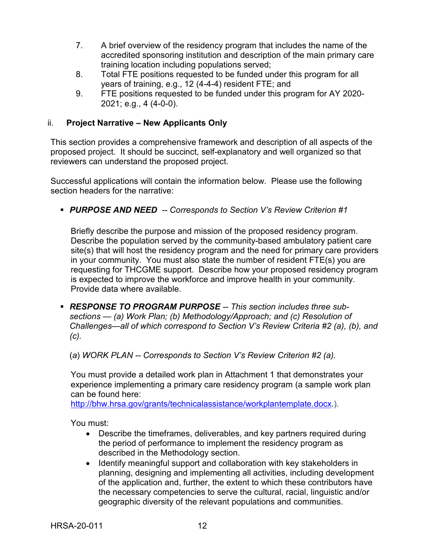- 7. A brief overview of the residency program that includes the name of the accredited sponsoring institution and description of the main primary care training location including populations served;
- 8. Total FTE positions requested to be funded under this program for all years of training, e.g., 12 (4-4-4) resident FTE; and
- 9. FTE positions requested to be funded under this program for AY 2020- 2021; e.g., 4 (4-0-0).

## <span id="page-15-0"></span>ii. **Project Narrative – New Applicants Only**

This section provides a comprehensive framework and description of all aspects of the proposed project. It should be succinct, self-explanatory and well organized so that reviewers can understand the proposed project.

Successful applications will contain the information below. Please use the following section headers for the narrative:

*PURPOSE AND NEED -- Corresponds to Section V's Review Criterion #1*

Briefly describe the purpose and mission of the proposed residency program. Describe the population served by the community-based ambulatory patient care site(s) that will host the residency program and the need for primary care providers in your community. You must also state the number of resident FTE(s) you are requesting for THCGME support. Describe how your proposed residency program is expected to improve the workforce and improve health in your community. Provide data where available.

 *RESPONSE TO PROGRAM PURPOSE -- This section includes three subsections — (a) Work Plan; (b) Methodology/Approach; and (c) Resolution of Challenges—all of which correspond to Section V's Review Criteria #2 (a), (b), and (c).*

(*a*) *WORK PLAN -- Corresponds to Section V's Review Criterion #2 (a).* 

You must provide a detailed work plan in Attachment 1 that demonstrates your experience implementing a primary care residency program (a sample work plan can be found here:

[http://bhw.hrsa.gov/grants/technicalassistance/workplantemplate.docx.](http://bhw.hrsa.gov/grants/technicalassistance/workplantemplate.docx)).

You must:

- Describe the timeframes, deliverables, and key partners required during the period of performance to implement the residency program as described in the Methodology section.
- Identify meaningful support and collaboration with key stakeholders in planning, designing and implementing all activities, including development of the application and, further, the extent to which these contributors have the necessary competencies to serve the cultural, racial, linguistic and/or geographic diversity of the relevant populations and communities.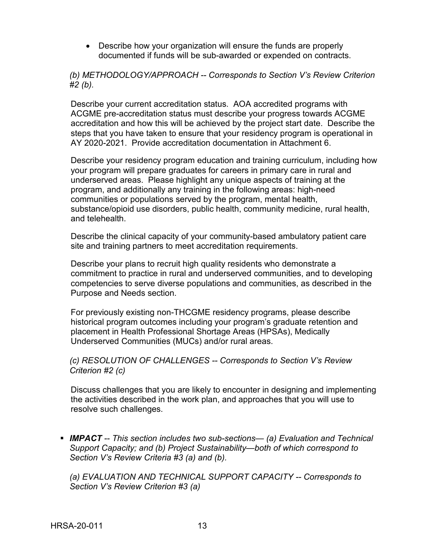• Describe how your organization will ensure the funds are properly documented if funds will be sub-awarded or expended on contracts.

*(b) METHODOLOGY/APPROACH -- Corresponds to Section V's Review Criterion #2 (b).*

Describe your current accreditation status. AOA accredited programs with ACGME pre-accreditation status must describe your progress towards ACGME accreditation and how this will be achieved by the project start date. Describe the steps that you have taken to ensure that your residency program is operational in AY 2020-2021. Provide accreditation documentation in Attachment 6.

Describe your residency program education and training curriculum, including how your program will prepare graduates for careers in primary care in rural and underserved areas. Please highlight any unique aspects of training at the program, and additionally any training in the following areas: high-need communities or populations served by the program, mental health, substance/opioid use disorders, public health, community medicine, rural health, and telehealth.

Describe the clinical capacity of your community-based ambulatory patient care site and training partners to meet accreditation requirements.

Describe your plans to recruit high quality residents who demonstrate a commitment to practice in rural and underserved communities, and to developing competencies to serve diverse populations and communities, as described in the Purpose and Needs section.

For previously existing non-THCGME residency programs, please describe historical program outcomes including your program's graduate retention and placement in Health Professional Shortage Areas (HPSAs), Medically Underserved Communities (MUCs) and/or rural areas.

*(c) RESOLUTION OF CHALLENGES -- Corresponds to Section V's Review Criterion #2 (c)* 

Discuss challenges that you are likely to encounter in designing and implementing the activities described in the work plan, and approaches that you will use to resolve such challenges.

 *IMPACT -- This section includes two sub-sections— (a) Evaluation and Technical Support Capacity; and (b) Project Sustainability—both of which correspond to Section V's Review Criteria #3 (a) and (b).*

*(a) EVALUATION AND TECHNICAL SUPPORT CAPACITY -- Corresponds to Section V's Review Criterion #3 (a)*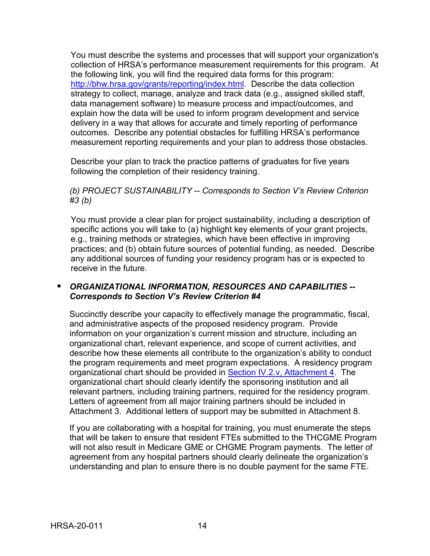You must describe the systems and processes that will support your organization's collection of HRSA's performance measurement requirements for this program. At the following link, you will find the required data forms for this program: [http://bhw.hrsa.gov/grants/reporting/index.html.](http://bhw.hrsa.gov/grants/reporting/index.html) Describe the data collection strategy to collect, manage, analyze and track data (e.g., assigned skilled staff, data management software) to measure process and impact/outcomes, and explain how the data will be used to inform program development and service delivery in a way that allows for accurate and timely reporting of performance outcomes. Describe any potential obstacles for fulfilling HRSA's performance measurement reporting requirements and your plan to address those obstacles.

Describe your plan to track the practice patterns of graduates for five years following the completion of their residency training.

#### *(b) PROJECT SUSTAINABILITY -- Corresponds to Section V's Review Criterion #3 (b)*

You must provide a clear plan for project sustainability, including a description of specific actions you will take to (a) highlight key elements of your grant projects, e.g., training methods or strategies, which have been effective in improving practices; and (b) obtain future sources of potential funding, as needed. Describe any additional sources of funding your residency program has or is expected to receive in the future.

## *ORGANIZATIONAL INFORMATION, RESOURCES AND CAPABILITIES -- Corresponds to Section V's Review Criterion #4*

Succinctly describe your capacity to effectively manage the programmatic, fiscal, and administrative aspects of the proposed residency program. Provide information on your organization's current mission and structure, including an organizational chart, relevant experience, and scope of current activities, and describe how these elements all contribute to the organization's ability to conduct the program requirements and meet program expectations. A residency program organizational chart should be provided in [Section IV.2.v, Attachment 4.](#page-20-2) The organizational chart should clearly identify the sponsoring institution and all relevant partners, including training partners, required for the residency program. Letters of agreement from all major training partners should be included in Attachment 3. Additional letters of support may be submitted in Attachment 8.

If you are collaborating with a hospital for training, you must enumerate the steps that will be taken to ensure that resident FTEs submitted to the THCGME Program will not also result in Medicare GME or CHGME Program payments. The letter of agreement from any hospital partners should clearly delineate the organization's understanding and plan to ensure there is no double payment for the same FTE.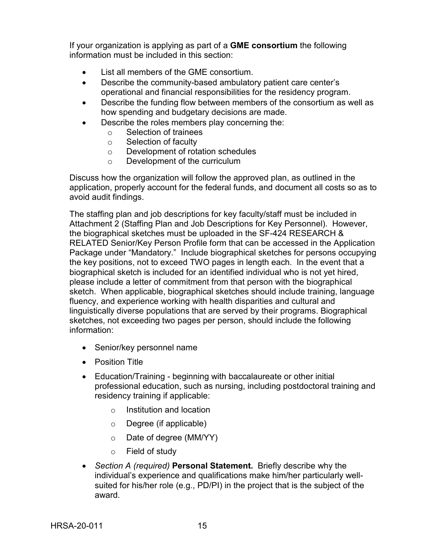If your organization is applying as part of a **GME consortium** the following information must be included in this section:

- List all members of the GME consortium.
- Describe the community-based ambulatory patient care center's operational and financial responsibilities for the residency program.
- Describe the funding flow between members of the consortium as well as how spending and budgetary decisions are made.
- Describe the roles members play concerning the:
	- o Selection of trainees
	- o Selection of faculty
	- o Development of rotation schedules
	- o Development of the curriculum

Discuss how the organization will follow the approved plan, as outlined in the application, properly account for the federal funds, and document all costs so as to avoid audit findings.

The staffing plan and job descriptions for key faculty/staff must be included in Attachment 2 (Staffing Plan and Job Descriptions for Key Personnel). However, the biographical sketches must be uploaded in the SF-424 RESEARCH & RELATED Senior/Key Person Profile form that can be accessed in the Application Package under "Mandatory." Include biographical sketches for persons occupying the key positions, not to exceed TWO pages in length each. In the event that a biographical sketch is included for an identified individual who is not yet hired, please include a letter of commitment from that person with the biographical sketch. When applicable, biographical sketches should include training, language fluency, and experience working with health disparities and cultural and linguistically diverse populations that are served by their programs. Biographical sketches, not exceeding two pages per person, should include the following information:

- Senior/key personnel name
- Position Title
- Education/Training beginning with baccalaureate or other initial professional education, such as nursing, including postdoctoral training and residency training if applicable:
	- o Institution and location
	- o Degree (if applicable)
	- o Date of degree (MM/YY)
	- o Field of study
- *Section A (required)* **Personal Statement.** Briefly describe why the individual's experience and qualifications make him/her particularly wellsuited for his/her role (e.g., PD/PI) in the project that is the subject of the award.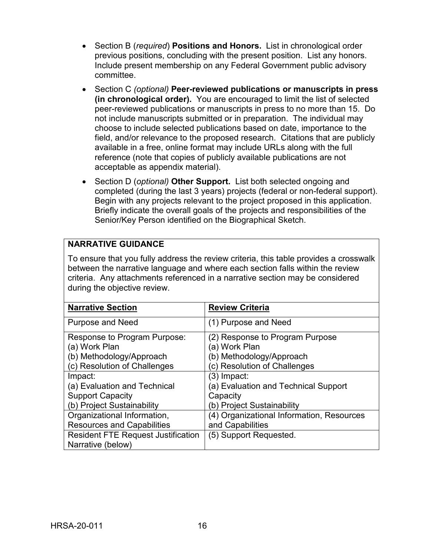- Section B (*required*) **Positions and Honors.** List in chronological order previous positions, concluding with the present position. List any honors. Include present membership on any Federal Government public advisory committee.
- Section C *(optional)* **Peer-reviewed publications or manuscripts in press (in chronological order).** You are encouraged to limit the list of selected peer-reviewed publications or manuscripts in press to no more than 15. Do not include manuscripts submitted or in preparation. The individual may choose to include selected publications based on date, importance to the field, and/or relevance to the proposed research. Citations that are publicly available in a free, online format may include URLs along with the full reference (note that copies of publicly available publications are not acceptable as appendix material).
- Section D (*optional)* **Other Support.** List both selected ongoing and completed (during the last 3 years) projects (federal or non-federal support). Begin with any projects relevant to the project proposed in this application. Briefly indicate the overall goals of the projects and responsibilities of the Senior/Key Person identified on the Biographical Sketch.

## **NARRATIVE GUIDANCE**

To ensure that you fully address the review criteria, this table provides a crosswalk between the narrative language and where each section falls within the review criteria. Any attachments referenced in a narrative section may be considered during the objective review.

| <b>Narrative Section</b>                  | <b>Review Criteria</b>                    |
|-------------------------------------------|-------------------------------------------|
| <b>Purpose and Need</b>                   | (1) Purpose and Need                      |
| Response to Program Purpose:              | (2) Response to Program Purpose           |
| (a) Work Plan                             | ัa) Work Plan                             |
| (b) Methodology/Approach                  | (b) Methodology/Approach                  |
| (c) Resolution of Challenges              | (c) Resolution of Challenges              |
| Impact:                                   | (3) Impact:                               |
| (a) Evaluation and Technical              | (a) Evaluation and Technical Support      |
| <b>Support Capacity</b>                   | Capacity                                  |
| (b) Project Sustainability                | (b) Project Sustainability                |
| Organizational Information,               | (4) Organizational Information, Resources |
| <b>Resources and Capabilities</b>         | and Capabilities                          |
| <b>Resident FTE Request Justification</b> | (5) Support Requested.                    |
| Narrative (below)                         |                                           |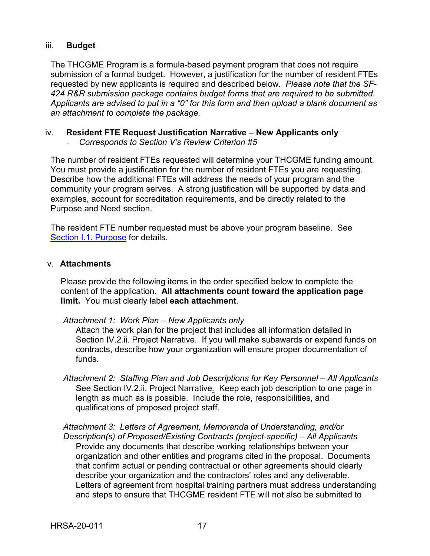#### <span id="page-20-0"></span>iii. **Budget**

The THCGME Program is a formula-based payment program that does not require submission of a formal budget. However, a justification for the number of resident FTEs requested by new applicants is required and described below. *Please note that the SF-424 R&R submission package contains budget forms that are required to be submitted. Applicants are advised to put in a "0" for this form and then upload a blank document as an attachment to complete the package.*

#### <span id="page-20-1"></span>iv. **Resident FTE Request Justification Narrative – New Applicants only**

- *Corresponds to Section V's Review Criterion #5*

The number of resident FTEs requested will determine your THCGME funding amount. You must provide a justification for the number of resident FTEs you are requesting. Describe how the additional FTEs will address the needs of your program and the community your program serves. A strong justification will be supported by data and examples, account for accreditation requirements, and be directly related to the Purpose and Need section.

The resident FTE number requested must be above your program baseline. See [Section I.1. Purpose](#page-4-1) for details.

#### <span id="page-20-2"></span>v. **Attachments**

Please provide the following items in the order specified below to complete the content of the application. **All attachments count toward the application page limit.** You must clearly label **each attachment**.

#### *Attachment 1: Work Plan – New Applicants only*

Attach the work plan for the project that includes all information detailed in Section IV.2.ii. Project Narrative. If you will make subawards or expend funds on contracts, describe how your organization will ensure proper documentation of funds.

*Attachment 2: Staffing Plan and Job Descriptions for Key Personnel – All Applicants* See Section IV.2.ii. Project Narrative*.* Keep each job description to one page in length as much as is possible. Include the role, responsibilities, and qualifications of proposed project staff.

*Attachment 3: Letters of Agreement, Memoranda of Understanding, and/or Description(s) of Proposed/Existing Contracts (project-specific) – All Applicants* Provide any documents that describe working relationships between your organization and other entities and programs cited in the proposal. Documents that confirm actual or pending contractual or other agreements should clearly describe your organization and the contractors' roles and any deliverable. Letters of agreement from hospital training partners must address understanding and steps to ensure that THCGME resident FTE will not also be submitted to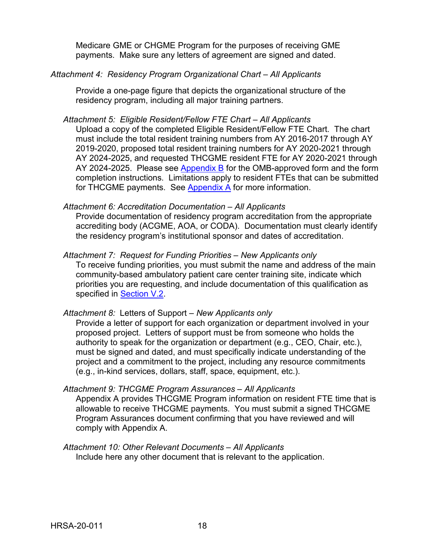Medicare GME or CHGME Program for the purposes of receiving GME payments. Make sure any letters of agreement are signed and dated.

*Attachment 4: Residency Program Organizational Chart – All Applicants*

Provide a one-page figure that depicts the organizational structure of the residency program, including all major training partners.

*Attachment 5: Eligible Resident/Fellow FTE Chart – All Applicants*

Upload a copy of the completed Eligible Resident/Fellow FTE Chart. The chart must include the total resident training numbers from AY 2016-2017 through AY 2019-2020, proposed total resident training numbers for AY 2020-2021 through AY 2024-2025, and requested THCGME resident FTE for AY 2020-2021 through AY 2024-2025. Please see [Appendix B](#page-37-0) for the OMB-approved form and the form completion instructions. Limitations apply to resident FTEs that can be submitted for THCGME payments. See [Appendix A](#page-33-0) for more information.

#### *Attachment 6: Accreditation Documentation – All Applicants*

Provide documentation of residency program accreditation from the appropriate accrediting body (ACGME, AOA, or CODA). Documentation must clearly identify the residency program's institutional sponsor and dates of accreditation.

#### *Attachment 7: Request for Funding Priorities – New Applicants only*

To receive funding priorities, you must submit the name and address of the main community-based ambulatory patient care center training site, indicate which priorities you are requesting, and include documentation of this qualification as specified in [Section V.2.](#page-26-0)

#### *Attachment 8:* Letters of Support *– New Applicants only*

Provide a letter of support for each organization or department involved in your proposed project. Letters of support must be from someone who holds the authority to speak for the organization or department (e.g., CEO, Chair, etc.), must be signed and dated, and must specifically indicate understanding of the project and a commitment to the project, including any resource commitments (e.g., in-kind services, dollars, staff, space, equipment, etc.).

#### *Attachment 9: THCGME Program Assurances – All Applicants*

Appendix A provides THCGME Program information on resident FTE time that is allowable to receive THCGME payments. You must submit a signed THCGME Program Assurances document confirming that you have reviewed and will comply with Appendix A.

*Attachment 10: Other Relevant Documents – All Applicants* Include here any other document that is relevant to the application.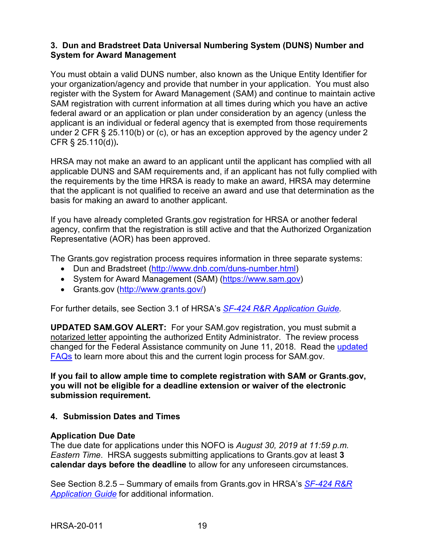#### <span id="page-22-0"></span>**3. Dun and Bradstreet Data Universal Numbering System (DUNS) Number and System for Award Management**

You must obtain a valid DUNS number, also known as the Unique Entity Identifier for your organization/agency and provide that number in your application. You must also register with the System for Award Management (SAM) and continue to maintain active SAM registration with current information at all times during which you have an active federal award or an application or plan under consideration by an agency (unless the applicant is an individual or federal agency that is exempted from those requirements under 2 CFR § 25.110(b) or (c), or has an exception approved by the agency under 2 CFR § 25.110(d))**.**

HRSA may not make an award to an applicant until the applicant has complied with all applicable DUNS and SAM requirements and, if an applicant has not fully complied with the requirements by the time HRSA is ready to make an award, HRSA may determine that the applicant is not qualified to receive an award and use that determination as the basis for making an award to another applicant.

If you have already completed Grants.gov registration for HRSA or another federal agency, confirm that the registration is still active and that the Authorized Organization Representative (AOR) has been approved.

The Grants.gov registration process requires information in three separate systems:

- Dun and Bradstreet [\(http://www.dnb.com/duns-number.html\)](http://www.dnb.com/duns-number.html)
- System for Award Management (SAM) [\(https://www.sam.gov\)](https://www.sam.gov/)
- Grants.gov [\(http://www.grants.gov/\)](http://www.grants.gov/)

For further details, see Section 3.1 of HRSA's *SF-424 R&R [Application Guide.](http://www.hrsa.gov/grants/apply/applicationguide/sf424rrguidev2.pdf)*

**UPDATED SAM.GOV ALERT:** For your SAM.gov registration, you must submit a notarized letter appointing the authorized Entity Administrator. The review process changed for the Federal Assistance community on June 11, 2018. Read the [updated](https://www.gsa.gov/about-us/organization/federal-acquisition-service/office-of-systems-management/integrated-award-environment-iae/sam-update)  [FAQs](https://www.gsa.gov/about-us/organization/federal-acquisition-service/office-of-systems-management/integrated-award-environment-iae/sam-update) to learn more about this and the current login process for SAM.gov.

**If you fail to allow ample time to complete registration with SAM or Grants.gov, you will not be eligible for a deadline extension or waiver of the electronic submission requirement.**

#### <span id="page-22-1"></span>**4. Submission Dates and Times**

#### **Application Due Date**

The due date for applications under this NOFO is *August 30, 2019 at 11:59 p.m. Eastern Time*. HRSA suggests submitting applications to Grants.gov at least **3 calendar days before the deadline** to allow for any unforeseen circumstances.

See Section 8.2.5 – Summary of emails from Grants.gov in HRSA's *[SF-424](http://www.hrsa.gov/grants/apply/applicationguide/sf424rrguidev2.pdf) R&R [Application Guide](http://www.hrsa.gov/grants/apply/applicationguide/sf424rrguidev2.pdf)* for additional information.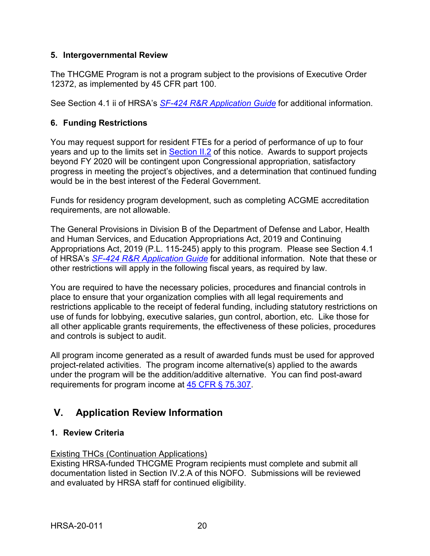### <span id="page-23-0"></span>**5. Intergovernmental Review**

The THCGME Program is not a program subject to the provisions of Executive Order 12372, as implemented by 45 CFR part 100.

See Section 4.1 ii of HRSA's *SF-424 R&R [Application Guide](http://www.hrsa.gov/grants/apply/applicationguide/sf424rrguidev2.pdf)* for additional information.

## <span id="page-23-1"></span>**6. Funding Restrictions**

You may request support for resident FTEs for a period of performance of up to four years and up to the limits set in **Section II.2** of this notice. Awards to support projects beyond FY 2020 will be contingent upon Congressional appropriation, satisfactory progress in meeting the project's objectives, and a determination that continued funding would be in the best interest of the Federal Government.

Funds for residency program development, such as completing ACGME accreditation requirements, are not allowable.

The General Provisions in Division B of the Department of Defense and Labor, Health and Human Services, and Education Appropriations Act, 2019 and Continuing Appropriations Act, 2019 (P.L. 115-245) apply to this program. Please see Section 4.1 of HRSA's *SF-424 R&R [Application Guide](http://www.hrsa.gov/grants/apply/applicationguide/sf424rrguidev2.pdf)* for additional information. Note that these or other restrictions will apply in the following fiscal years, as required by law.

You are required to have the necessary policies, procedures and financial controls in place to ensure that your organization complies with all legal requirements and restrictions applicable to the receipt of federal funding, including statutory restrictions on use of funds for lobbying, executive salaries, gun control, abortion, etc. Like those for all other applicable grants requirements, the effectiveness of these policies, procedures and controls is subject to audit.

All program income generated as a result of awarded funds must be used for approved project-related activities. The program income alternative(s) applied to the awards under the program will be the addition/additive alternative. You can find post-award requirements for program income at [45 CFR § 75.307.](http://www.ecfr.gov/cgi-bin/retrieveECFR?gp=1&SID=4d52364ec83fab994c665943dadf9cf7&ty=HTML&h=L&r=PART&n=pt45.1.75#se45.1.75_1307)

## <span id="page-23-2"></span>**V. Application Review Information**

## <span id="page-23-3"></span>**1. Review Criteria**

## Existing THCs (Continuation Applications)

Existing HRSA-funded THCGME Program recipients must complete and submit all documentation listed in Section IV.2.A of this NOFO. Submissions will be reviewed and evaluated by HRSA staff for continued eligibility.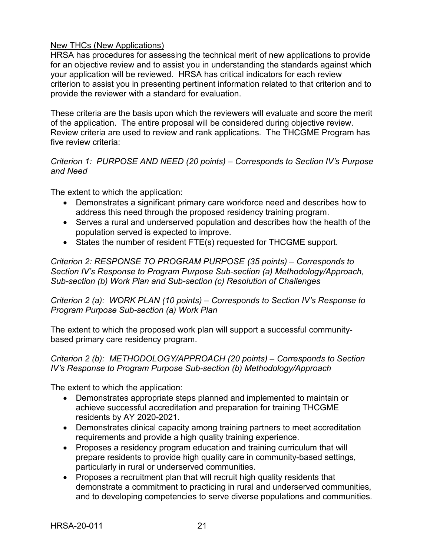### New THCs (New Applications)

HRSA has procedures for assessing the technical merit of new applications to provide for an objective review and to assist you in understanding the standards against which your application will be reviewed. HRSA has critical indicators for each review criterion to assist you in presenting pertinent information related to that criterion and to provide the reviewer with a standard for evaluation.

These criteria are the basis upon which the reviewers will evaluate and score the merit of the application. The entire proposal will be considered during objective review. Review criteria are used to review and rank applications. The THCGME Program has five review criteria:

### *Criterion 1: PURPOSE AND NEED (20 points) – Corresponds to Section IV's Purpose and Need*

The extent to which the application:

- Demonstrates a significant primary care workforce need and describes how to address this need through the proposed residency training program.
- Serves a rural and underserved population and describes how the health of the population served is expected to improve.
- States the number of resident FTE(s) requested for THCGME support.

*Criterion 2: RESPONSE TO PROGRAM PURPOSE (35 points) – Corresponds to Section IV's Response to Program Purpose Sub-section (a) Methodology/Approach, Sub-section (b) Work Plan and Sub-section (c) Resolution of Challenges*

*Criterion 2 (a): WORK PLAN (10 points) – Corresponds to Section IV's Response to Program Purpose Sub-section (a) Work Plan*

The extent to which the proposed work plan will support a successful communitybased primary care residency program.

#### *Criterion 2 (b): METHODOLOGY/APPROACH (20 points) – Corresponds to Section IV's Response to Program Purpose Sub-section (b) Methodology/Approach*

The extent to which the application:

- Demonstrates appropriate steps planned and implemented to maintain or achieve successful accreditation and preparation for training THCGME residents by AY 2020-2021.
- Demonstrates clinical capacity among training partners to meet accreditation requirements and provide a high quality training experience.
- Proposes a residency program education and training curriculum that will prepare residents to provide high quality care in community-based settings, particularly in rural or underserved communities.
- Proposes a recruitment plan that will recruit high quality residents that demonstrate a commitment to practicing in rural and underserved communities, and to developing competencies to serve diverse populations and communities.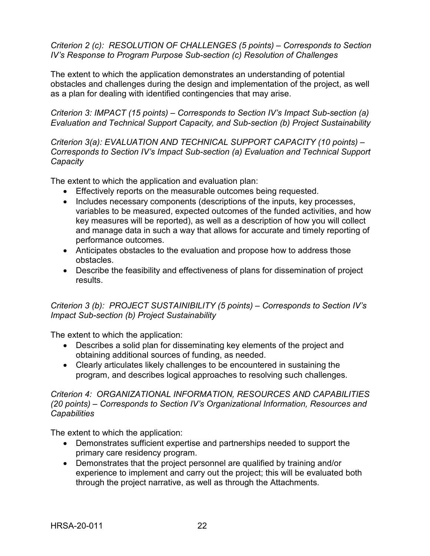*Criterion 2 (c): RESOLUTION OF CHALLENGES (5 points) – Corresponds to Section IV's Response to Program Purpose Sub-section (c) Resolution of Challenges*

The extent to which the application demonstrates an understanding of potential obstacles and challenges during the design and implementation of the project, as well as a plan for dealing with identified contingencies that may arise.

*Criterion 3: IMPACT (15 points) – Corresponds to Section IV's Impact Sub-section (a) Evaluation and Technical Support Capacity, and Sub-section (b) Project Sustainability*

*Criterion 3(a): EVALUATION AND TECHNICAL SUPPORT CAPACITY (10 points) – Corresponds to Section IV's Impact Sub-section (a) Evaluation and Technical Support Capacity* 

The extent to which the application and evaluation plan:

- Effectively reports on the measurable outcomes being requested.
- Includes necessary components (descriptions of the inputs, key processes, variables to be measured, expected outcomes of the funded activities, and how key measures will be reported), as well as a description of how you will collect and manage data in such a way that allows for accurate and timely reporting of performance outcomes.
- Anticipates obstacles to the evaluation and propose how to address those obstacles.
- Describe the feasibility and effectiveness of plans for dissemination of project results.

*Criterion 3 (b): PROJECT SUSTAINIBILITY (5 points) – Corresponds to Section IV's Impact Sub-section (b) Project Sustainability* 

The extent to which the application:

- Describes a solid plan for disseminating key elements of the project and obtaining additional sources of funding, as needed.
- Clearly articulates likely challenges to be encountered in sustaining the program, and describes logical approaches to resolving such challenges.

*Criterion 4: ORGANIZATIONAL INFORMATION, RESOURCES AND CAPABILITIES (20 points) – Corresponds to Section IV's Organizational Information, Resources and Capabilities* 

The extent to which the application:

- Demonstrates sufficient expertise and partnerships needed to support the primary care residency program.
- Demonstrates that the project personnel are qualified by training and/or experience to implement and carry out the project; this will be evaluated both through the project narrative, as well as through the Attachments.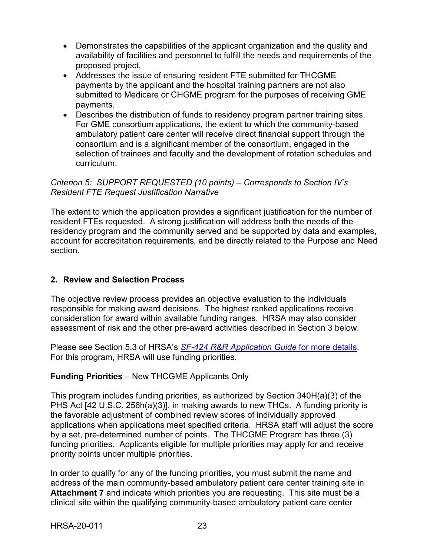- Demonstrates the capabilities of the applicant organization and the quality and availability of facilities and personnel to fulfill the needs and requirements of the proposed project.
- Addresses the issue of ensuring resident FTE submitted for THCGME payments by the applicant and the hospital training partners are not also submitted to Medicare or CHGME program for the purposes of receiving GME payments.
- Describes the distribution of funds to residency program partner training sites. For GME consortium applications, the extent to which the community-based ambulatory patient care center will receive direct financial support through the consortium and is a significant member of the consortium, engaged in the selection of trainees and faculty and the development of rotation schedules and curriculum.

### *Criterion 5: SUPPORT REQUESTED (10 points) – Corresponds to Section IV's Resident FTE Request Justification Narrative*

The extent to which the application provides a significant justification for the number of resident FTEs requested. A strong justification will address both the needs of the residency program and the community served and be supported by data and examples, account for accreditation requirements, and be directly related to the Purpose and Need section.

## <span id="page-26-0"></span>**2. Review and Selection Process**

The objective review process provides an objective evaluation to the individuals responsible for making award decisions. The highest ranked applications receive consideration for award within available funding ranges. HRSA may also consider assessment of risk and the other pre-award activities described in Section 3 below.

Please see Section 5.3 of HRSA's *SF-424 [R&R Application Guide](http://www.hrsa.gov/grants/apply/applicationguide/sf424rrguidev2.pdf)* for more details. For this program, HRSA will use funding priorities.

## **Funding Priorities** – New THCGME Applicants Only

This program includes funding priorities, as authorized by Section 340H(a)(3) of the PHS Act [42 U.S.C. 256h(a)(3)], in making awards to new THCs. A funding priority is the favorable adjustment of combined review scores of individually approved applications when applications meet specified criteria. HRSA staff will adjust the score by a set, pre-determined number of points. The THCGME Program has three (3) funding priorities. Applicants eligible for multiple priorities may apply for and receive priority points under multiple priorities.

In order to qualify for any of the funding priorities, you must submit the name and address of the main community-based ambulatory patient care center training site in **Attachment 7** and indicate which priorities you are requesting. This site must be a clinical site within the qualifying community-based ambulatory patient care center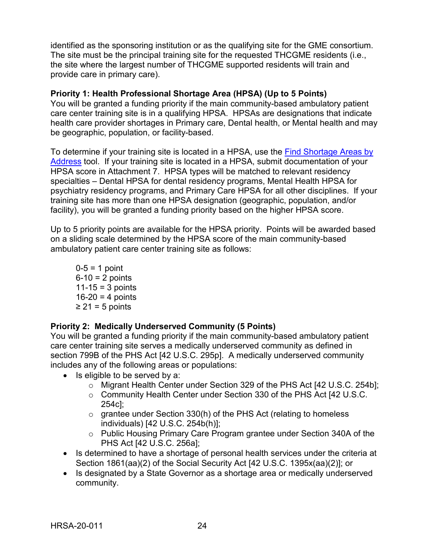identified as the sponsoring institution or as the qualifying site for the GME consortium. The site must be the principal training site for the requested THCGME residents (i.e., the site where the largest number of THCGME supported residents will train and provide care in primary care).

### **Priority 1: Health Professional Shortage Area (HPSA) (Up to 5 Points)**

You will be granted a funding priority if the main community-based ambulatory patient care center training site is in a qualifying HPSA. HPSAs are designations that indicate health care provider shortages in Primary care, Dental health, or Mental health and may be geographic, population, or facility-based.

To determine if your training site is located in a HPSA, use the Find Shortage Areas by [Address](https://datawarehouse.hrsa.gov/tools/analyzers/geo/ShortageArea.aspx) tool. If your training site is located in a HPSA, submit documentation of your HPSA score in Attachment 7. HPSA types will be matched to relevant residency specialties – Dental HPSA for dental residency programs, Mental Health HPSA for psychiatry residency programs, and Primary Care HPSA for all other disciplines. If your training site has more than one HPSA designation (geographic, population, and/or facility), you will be granted a funding priority based on the higher HPSA score.

Up to 5 priority points are available for the HPSA priority. Points will be awarded based on a sliding scale determined by the HPSA score of the main community-based ambulatory patient care center training site as follows:

 $0 - 5 = 1$  point  $6 - 10 = 2$  points  $11 - 15 = 3$  points  $16 - 20 = 4$  points  $\geq$  21 = 5 points

## **Priority 2: Medically Underserved Community (5 Points)**

You will be granted a funding priority if the main community-based ambulatory patient care center training site serves a medically underserved community as defined in section 799B of the PHS Act [42 U.S.C. 295p]. A medically underserved community includes any of the following areas or populations:

- Is eligible to be served by a:
	- o Migrant Health Center under Section 329 of the PHS Act [42 U.S.C. 254b];
	- o Community Health Center under Section 330 of the PHS Act [42 U.S.C. 254c];
	- $\circ$  grantee under Section 330(h) of the PHS Act (relating to homeless individuals) [42 U.S.C. 254b(h)];
	- o Public Housing Primary Care Program grantee under Section 340A of the PHS Act [42 U.S.C. 256a];
- Is determined to have a shortage of personal health services under the criteria at Section 1861(aa)(2) of the Social Security Act [42 U.S.C. 1395x(aa)(2)]; or
- Is designated by a State Governor as a shortage area or medically underserved community.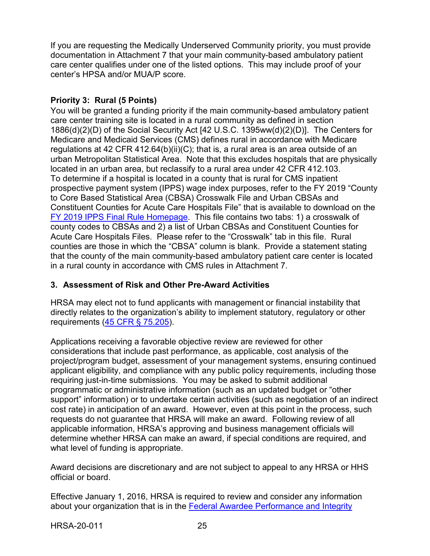If you are requesting the Medically Underserved Community priority, you must provide documentation in Attachment 7 that your main community-based ambulatory patient care center qualifies under one of the listed options. This may include proof of your center's HPSA and/or MUA/P score.

## **Priority 3: Rural (5 Points)**

You will be granted a funding priority if the main community-based ambulatory patient care center training site is located in a rural community as defined in section 1886(d)(2)(D) of the Social Security Act [42 U.S.C. 1395ww(d)(2)(D)]. The Centers for Medicare and Medicaid Services (CMS) defines rural in accordance with Medicare regulations at 42 CFR 412.64(b)(ii)(C); that is, a rural area is an area outside of an urban Metropolitan Statistical Area. Note that this excludes hospitals that are physically located in an urban area, but reclassify to a rural area under 42 CFR 412.103. To determine if a hospital is located in a county that is rural for CMS inpatient prospective payment system (IPPS) wage index purposes, refer to the FY 2019 "County to Core Based Statistical Area (CBSA) Crosswalk File and Urban CBSAs and Constituent Counties for Acute Care Hospitals File" that is available to download on the FY 2019 [IPPS Final Rule Homepage.](https://www.cms.gov/Medicare/Medicare-Fee-for-Service-Payment/AcuteInpatientPPS/FY2019-IPPS-Final-Rule-Home-Page-Items/FY2019-IPPS-Final-Rule-Data-Files.html?DLPage=1&DLEntries=10&DLSort=0&DLSortDir=ascending) This file contains two tabs: 1) a crosswalk of county codes to CBSAs and 2) a list of Urban CBSAs and Constituent Counties for Acute Care Hospitals Files. Please refer to the "Crosswalk" tab in this file. Rural counties are those in which the "CBSA" column is blank. Provide a statement stating that the county of the main community-based ambulatory patient care center is located in a rural county in accordance with CMS rules in Attachment 7.

## <span id="page-28-0"></span>**3. Assessment of Risk and Other Pre-Award Activities**

HRSA may elect not to fund applicants with management or financial instability that directly relates to the organization's ability to implement statutory, regulatory or other requirements [\(45 CFR § 75.205\)](http://www.ecfr.gov/cgi-bin/retrieveECFR?gp=1&SID=4d52364ec83fab994c665943dadf9cf7&ty=HTML&h=L&r=PART&n=pt45.1.75#se45.1.75_1205).

Applications receiving a favorable objective review are reviewed for other considerations that include past performance, as applicable, cost analysis of the project/program budget, assessment of your management systems, ensuring continued applicant eligibility, and compliance with any public policy requirements, including those requiring just-in-time submissions. You may be asked to submit additional programmatic or administrative information (such as an updated budget or "other support" information) or to undertake certain activities (such as negotiation of an indirect cost rate) in anticipation of an award. However, even at this point in the process, such requests do not guarantee that HRSA will make an award. Following review of all applicable information, HRSA's approving and business management officials will determine whether HRSA can make an award, if special conditions are required, and what level of funding is appropriate.

Award decisions are discretionary and are not subject to appeal to any HRSA or HHS official or board.

Effective January 1, 2016, HRSA is required to review and consider any information about your organization that is in the [Federal Awardee Performance and Integrity](https://www.fapiis.gov/)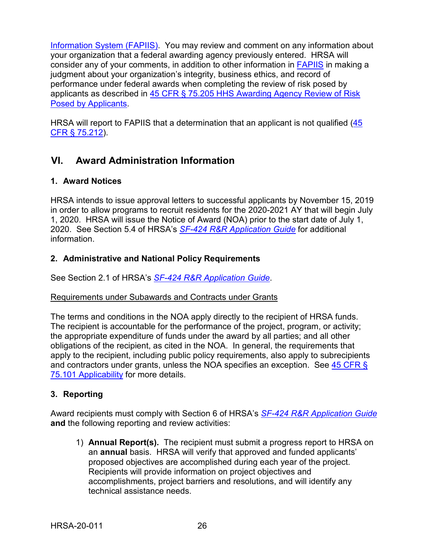[Information System \(FAPIIS\).](https://www.fapiis.gov/) You may review and comment on any information about your organization that a federal awarding agency previously entered. HRSA will consider any of your comments, in addition to other information in [FAPIIS](https://www.fapiis.gov/) in making a judgment about your organization's integrity, business ethics, and record of performance under federal awards when completing the review of risk posed by applicants as described in [45 CFR § 75.205 HHS Awarding Agency Review of Risk](http://www.ecfr.gov/cgi-bin/text-idx?node=pt45.1.75)  [Posed by Applicants.](http://www.ecfr.gov/cgi-bin/text-idx?node=pt45.1.75)

HRSA will report to FAPIIS that a determination that an applicant is not qualified  $(45)$ [CFR § 75.212\)](http://www.ecfr.gov/cgi-bin/text-idx?node=pt45.1.75).

## <span id="page-29-0"></span>**VI. Award Administration Information**

## <span id="page-29-1"></span>**1. Award Notices**

HRSA intends to issue approval letters to successful applicants by November 15, 2019 in order to allow programs to recruit residents for the 2020-2021 AY that will begin July 1, 2020. HRSA will issue the Notice of Award (NOA) prior to the start date of July 1, 2020. See Section 5.4 of HRSA's *SF-424 [R&R Application Guide](http://www.hrsa.gov/grants/apply/applicationguide/sf424rrguidev2.pdf)* for additional information.

## <span id="page-29-2"></span>**2. Administrative and National Policy Requirements**

See Section 2.1 of HRSA's *SF-424 [R&R Application Guide](http://www.hrsa.gov/grants/apply/applicationguide/sf424rrguidev2.pdf)*.

## Requirements under Subawards and Contracts under Grants

The terms and conditions in the NOA apply directly to the recipient of HRSA funds. The recipient is accountable for the performance of the project, program, or activity; the appropriate expenditure of funds under the award by all parties; and all other obligations of the recipient, as cited in the NOA. In general, the requirements that apply to the recipient, including public policy requirements, also apply to subrecipients and contractors under grants, unless the NOA specifies an exception. See [45 CFR §](https://www.ecfr.gov/cgi-bin/retrieveECFR?gp=1&SID=4d52364ec83fab994c665943dadf9cf7&ty=HTML&h=L&r=PART&n=pt45.1.75)  [75.101 Applicability](https://www.ecfr.gov/cgi-bin/retrieveECFR?gp=1&SID=4d52364ec83fab994c665943dadf9cf7&ty=HTML&h=L&r=PART&n=pt45.1.75) for more details.

## <span id="page-29-3"></span>**3. Reporting**

Award recipients must comply with Section 6 of HRSA's *SF-424 [R&R Application Guide](http://www.hrsa.gov/grants/apply/applicationguide/sf424rrguidev2.pdf)* **and** the following reporting and review activities:

1) **Annual Report(s).** The recipient must submit a progress report to HRSA on an **annual** basis. HRSA will verify that approved and funded applicants' proposed objectives are accomplished during each year of the project. Recipients will provide information on project objectives and accomplishments, project barriers and resolutions, and will identify any technical assistance needs.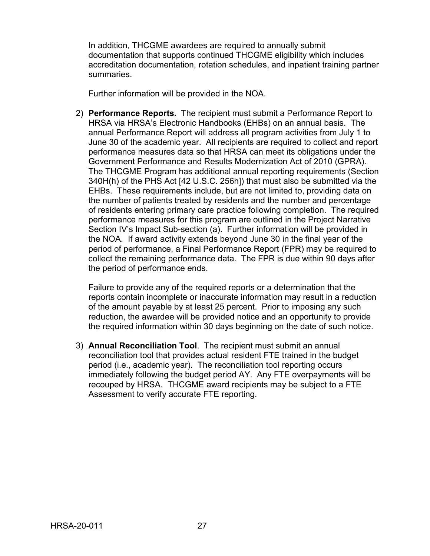In addition, THCGME awardees are required to annually submit documentation that supports continued THCGME eligibility which includes accreditation documentation, rotation schedules, and inpatient training partner summaries.

Further information will be provided in the NOA.

2) **Performance Reports.** The recipient must submit a Performance Report to HRSA via HRSA's Electronic Handbooks (EHBs) on an annual basis. The annual Performance Report will address all program activities from July 1 to June 30 of the academic year. All recipients are required to collect and report performance measures data so that HRSA can meet its obligations under the Government Performance and Results Modernization Act of 2010 (GPRA). The THCGME Program has additional annual reporting requirements (Section 340H(h) of the PHS Act [42 U.S.C. 256h]) that must also be submitted via the EHBs. These requirements include, but are not limited to, providing data on the number of patients treated by residents and the number and percentage of residents entering primary care practice following completion. The required performance measures for this program are outlined in the Project Narrative Section IV's Impact Sub-section (a). Further information will be provided in the NOA. If award activity extends beyond June 30 in the final year of the period of performance, a Final Performance Report (FPR) may be required to collect the remaining performance data. The FPR is due within 90 days after the period of performance ends.

Failure to provide any of the required reports or a determination that the reports contain incomplete or inaccurate information may result in a reduction of the amount payable by at least 25 percent. Prior to imposing any such reduction, the awardee will be provided notice and an opportunity to provide the required information within 30 days beginning on the date of such notice.

3) **Annual Reconciliation Tool**. The recipient must submit an annual reconciliation tool that provides actual resident FTE trained in the budget period (i.e., academic year). The reconciliation tool reporting occurs immediately following the budget period AY. Any FTE overpayments will be recouped by HRSA. THCGME award recipients may be subject to a FTE Assessment to verify accurate FTE reporting.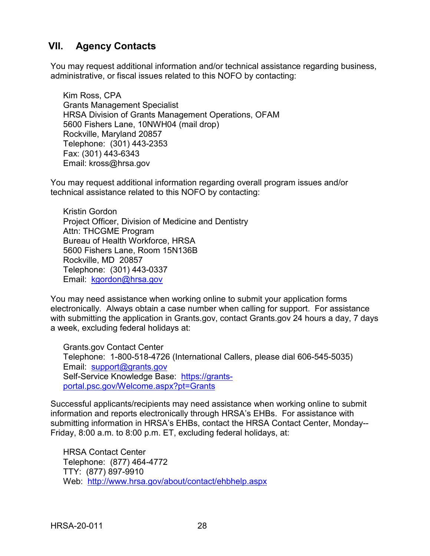## <span id="page-31-0"></span>**VII. Agency Contacts**

You may request additional information and/or technical assistance regarding business, administrative, or fiscal issues related to this NOFO by contacting:

Kim Ross, CPA Grants Management Specialist HRSA Division of Grants Management Operations, OFAM 5600 Fishers Lane, 10NWH04 (mail drop) Rockville, Maryland 20857 Telephone: (301) 443-2353 Fax: (301) 443-6343 Email: kross@hrsa.gov

You may request additional information regarding overall program issues and/or technical assistance related to this NOFO by contacting:

Kristin Gordon Project Officer, Division of Medicine and Dentistry Attn: THCGME Program Bureau of Health Workforce, HRSA 5600 Fishers Lane, Room 15N136B Rockville, MD 20857 Telephone: (301) 443-0337 Email: [kgordon@hrsa.gov](mailto:kgordon@hrsa.gov)

You may need assistance when working online to submit your application forms electronically. Always obtain a case number when calling for support. For assistance with submitting the application in Grants.gov, contact Grants.gov 24 hours a day, 7 days a week, excluding federal holidays at:

Grants.gov Contact Center Telephone: 1-800-518-4726 (International Callers, please dial 606-545-5035) Email: [support@grants.gov](mailto:support@grants.gov) Self-Service Knowledge Base: [https://grants](https://grants-portal.psc.gov/Welcome.aspx?pt=Grants)[portal.psc.gov/Welcome.aspx?pt=Grants](https://grants-portal.psc.gov/Welcome.aspx?pt=Grants)

Successful applicants/recipients may need assistance when working online to submit information and reports electronically through HRSA's EHBs. For assistance with submitting information in HRSA's EHBs, contact the HRSA Contact Center, Monday-- Friday, 8:00 a.m. to 8:00 p.m. ET, excluding federal holidays, at:

HRSA Contact Center Telephone: (877) 464-4772 TTY: (877) 897-9910 Web: <http://www.hrsa.gov/about/contact/ehbhelp.aspx>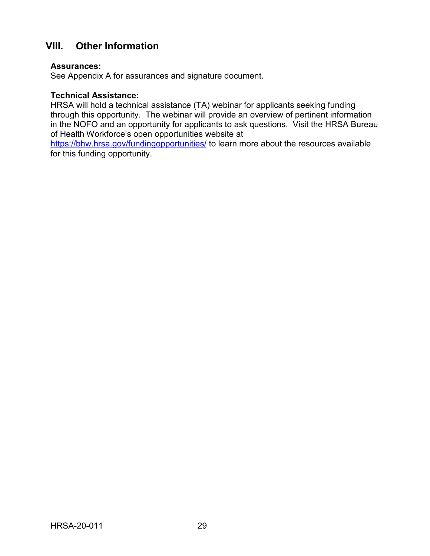## <span id="page-32-0"></span>**VIII. Other Information**

#### **Assurances:**

See Appendix A for assurances and signature document.

#### **Technical Assistance:**

HRSA will hold a technical assistance (TA) webinar for applicants seeking funding through this opportunity. The webinar will provide an overview of pertinent information in the NOFO and an opportunity for applicants to ask questions. Visit the HRSA Bureau of Health Workforce's open opportunities website at

<https://bhw.hrsa.gov/fundingopportunities/> to learn more about the resources available for this funding opportunity.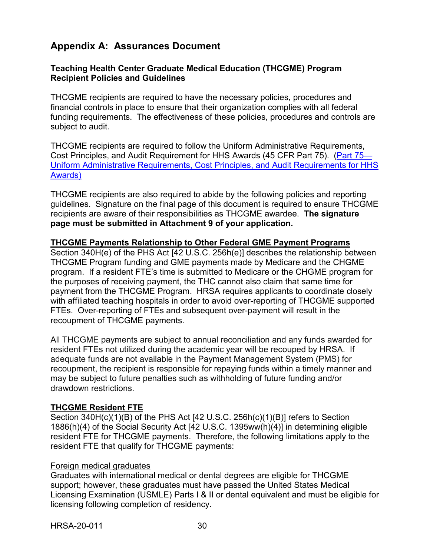## <span id="page-33-0"></span>**Appendix A: Assurances Document**

#### **Teaching Health Center Graduate Medical Education (THCGME) Program Recipient Policies and Guidelines**

THCGME recipients are required to have the necessary policies, procedures and financial controls in place to ensure that their organization complies with all federal funding requirements. The effectiveness of these policies, procedures and controls are subject to audit.

THCGME recipients are required to follow the Uniform Administrative Requirements, Cost Principles, and Audit Requirement for HHS Awards (45 CFR Part 75). [\(Part 75—](http://www.ecfr.gov/cgi-bin/retrieveECFR?gp=1&SID=df3c54728d090168d3b2e780a6f6ca7c&ty=HTML&h=L&mc=true&n=pt45.1.75&r=PART) [Uniform Administrative Requirements, Cost Principles, and Audit Requirements for HHS](http://www.ecfr.gov/cgi-bin/retrieveECFR?gp=1&SID=df3c54728d090168d3b2e780a6f6ca7c&ty=HTML&h=L&mc=true&n=pt45.1.75&r=PART)  [Awards\)](http://www.ecfr.gov/cgi-bin/retrieveECFR?gp=1&SID=df3c54728d090168d3b2e780a6f6ca7c&ty=HTML&h=L&mc=true&n=pt45.1.75&r=PART)

THCGME recipients are also required to abide by the following policies and reporting guidelines. Signature on the final page of this document is required to ensure THCGME recipients are aware of their responsibilities as THCGME awardee. **The signature page must be submitted in Attachment 9 of your application.**

#### **THCGME Payments Relationship to Other Federal GME Payment Programs**

Section 340H(e) of the PHS Act [42 U.S.C. 256h(e)] describes the relationship between THCGME Program funding and GME payments made by Medicare and the CHGME program. If a resident FTE's time is submitted to Medicare or the CHGME program for the purposes of receiving payment, the THC cannot also claim that same time for payment from the THCGME Program. HRSA requires applicants to coordinate closely with affiliated teaching hospitals in order to avoid over-reporting of THCGME supported FTEs. Over-reporting of FTEs and subsequent over-payment will result in the recoupment of THCGME payments.

All THCGME payments are subject to annual reconciliation and any funds awarded for resident FTEs not utilized during the academic year will be recouped by HRSA. If adequate funds are not available in the Payment Management System (PMS) for recoupment, the recipient is responsible for repaying funds within a timely manner and may be subject to future penalties such as withholding of future funding and/or drawdown restrictions.

#### **THCGME Resident FTE**

Section 340H(c)(1)(B) of the PHS Act [42 U.S.C. 256h(c)(1)(B)] refers to Section 1886(h)(4) of the Social Security Act [42 U.S.C. 1395ww(h)(4)] in determining eligible resident FTE for THCGME payments. Therefore, the following limitations apply to the resident FTE that qualify for THCGME payments:

#### Foreign medical graduates

Graduates with international medical or dental degrees are eligible for THCGME support; however, these graduates must have passed the United States Medical Licensing Examination (USMLE) Parts I & II or dental equivalent and must be eligible for licensing following completion of residency.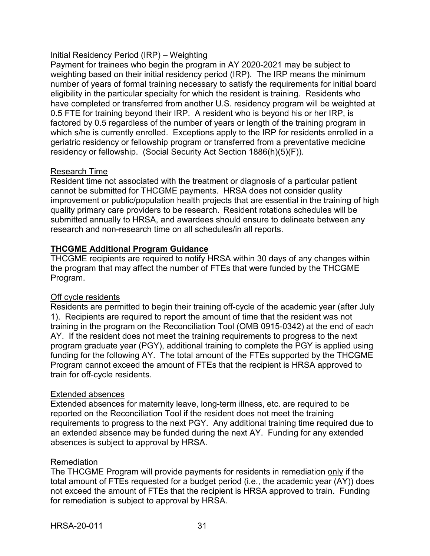## Initial Residency Period (IRP) – Weighting

Payment for trainees who begin the program in AY 2020-2021 may be subject to weighting based on their initial residency period (IRP). The IRP means the minimum number of years of formal training necessary to satisfy the requirements for initial board eligibility in the particular specialty for which the resident is training. Residents who have completed or transferred from another U.S. residency program will be weighted at 0.5 FTE for training beyond their IRP. A resident who is beyond his or her IRP, is factored by 0.5 regardless of the number of years or length of the training program in which s/he is currently enrolled. Exceptions apply to the IRP for residents enrolled in a geriatric residency or fellowship program or transferred from a preventative medicine residency or fellowship. (Social Security Act Section 1886(h)(5)(F)).

### Research Time

Resident time not associated with the treatment or diagnosis of a particular patient cannot be submitted for THCGME payments. HRSA does not consider quality improvement or public/population health projects that are essential in the training of high quality primary care providers to be research. Resident rotations schedules will be submitted annually to HRSA, and awardees should ensure to delineate between any research and non-research time on all schedules/in all reports.

## **THCGME Additional Program Guidance**

THCGME recipients are required to notify HRSA within 30 days of any changes within the program that may affect the number of FTEs that were funded by the THCGME Program.

#### Off cycle residents

Residents are permitted to begin their training off-cycle of the academic year (after July 1). Recipients are required to report the amount of time that the resident was not training in the program on the Reconciliation Tool (OMB 0915-0342) at the end of each AY. If the resident does not meet the training requirements to progress to the next program graduate year (PGY), additional training to complete the PGY is applied using funding for the following AY. The total amount of the FTEs supported by the THCGME Program cannot exceed the amount of FTEs that the recipient is HRSA approved to train for off-cycle residents.

#### Extended absences

Extended absences for maternity leave, long-term illness, etc. are required to be reported on the Reconciliation Tool if the resident does not meet the training requirements to progress to the next PGY. Any additional training time required due to an extended absence may be funded during the next AY. Funding for any extended absences is subject to approval by HRSA.

#### Remediation

The THCGME Program will provide payments for residents in remediation only if the total amount of FTEs requested for a budget period (i.e., the academic year (AY)) does not exceed the amount of FTEs that the recipient is HRSA approved to train. Funding for remediation is subject to approval by HRSA.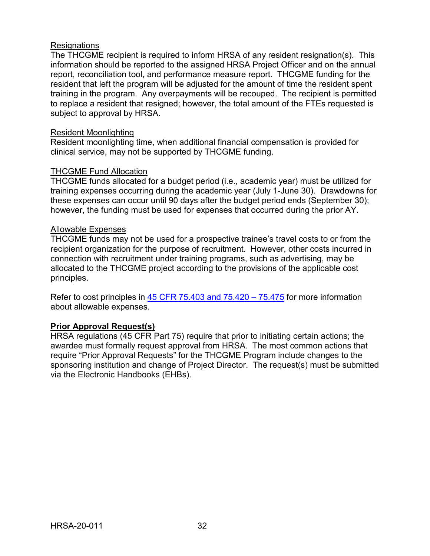#### **Resignations**

The THCGME recipient is required to inform HRSA of any resident resignation(s). This information should be reported to the assigned HRSA Project Officer and on the annual report, reconciliation tool, and performance measure report. THCGME funding for the resident that left the program will be adjusted for the amount of time the resident spent training in the program. Any overpayments will be recouped. The recipient is permitted to replace a resident that resigned; however, the total amount of the FTEs requested is subject to approval by HRSA.

#### Resident Moonlighting

Resident moonlighting time, when additional financial compensation is provided for clinical service, may not be supported by THCGME funding.

### THCGME Fund Allocation

THCGME funds allocated for a budget period (i.e., academic year) must be utilized for training expenses occurring during the academic year (July 1-June 30). Drawdowns for these expenses can occur until 90 days after the budget period ends (September 30); however, the funding must be used for expenses that occurred during the prior AY.

#### Allowable Expenses

THCGME funds may not be used for a prospective trainee's travel costs to or from the recipient organization for the purpose of recruitment. However, other costs incurred in connection with recruitment under training programs, such as advertising, may be allocated to the THCGME project according to the provisions of the applicable cost principles.

Refer to cost principles in [45 CFR 75.403 and 75.420 –](https://www.ecfr.gov/cgi-bin/text-idx?node=pt45.1.75) 75.475 for more information about allowable expenses.

## **Prior Approval Request(s)**

HRSA regulations (45 CFR Part 75) require that prior to initiating certain actions; the awardee must formally request approval from HRSA. The most common actions that require "Prior Approval Requests" for the THCGME Program include changes to the sponsoring institution and change of Project Director. The request(s) must be submitted via the Electronic Handbooks (EHBs).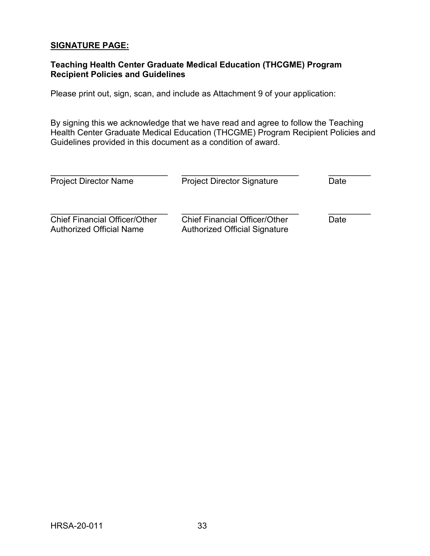## **SIGNATURE PAGE:**

## **Teaching Health Center Graduate Medical Education (THCGME) Program Recipient Policies and Guidelines**

Please print out, sign, scan, and include as Attachment 9 of your application:

By signing this we acknowledge that we have read and agree to follow the Teaching Health Center Graduate Medical Education (THCGME) Program Recipient Policies and Guidelines provided in this document as a condition of award.

| <b>Project Director Name</b>                                            | <b>Project Director Signature</b>                                            | Date |  |
|-------------------------------------------------------------------------|------------------------------------------------------------------------------|------|--|
| <b>Chief Financial Officer/Other</b><br><b>Authorized Official Name</b> | <b>Chief Financial Officer/Other</b><br><b>Authorized Official Signature</b> | Date |  |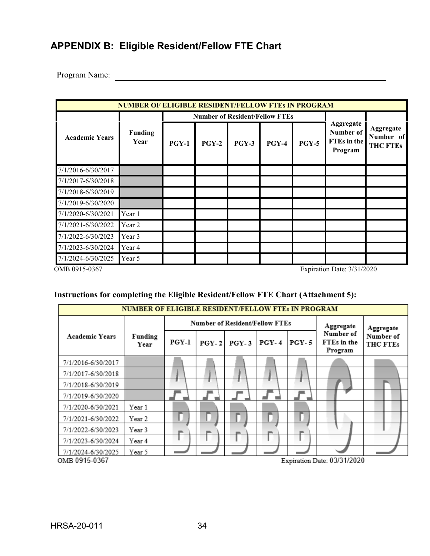## <span id="page-37-0"></span>**APPENDIX B: Eligible Resident/Fellow FTE Chart**

Program Name:

| <b>NUMBER OF ELIGIBLE RESIDENT/FELLOW FTES IN PROGRAM</b> |                        |                                       |         |         |         |         |                                                         |                                           |
|-----------------------------------------------------------|------------------------|---------------------------------------|---------|---------|---------|---------|---------------------------------------------------------|-------------------------------------------|
|                                                           | <b>Funding</b><br>Year | <b>Number of Resident/Fellow FTEs</b> |         |         |         |         |                                                         |                                           |
| <b>Academic Years</b>                                     |                        | PGY-1                                 | $PGY-2$ | $PGY-3$ | $PGY-4$ | $PGY-5$ | Aggregate<br>Number of<br><b>FTEs</b> in the<br>Program | Aggregate<br>Number of<br><b>THC FTEs</b> |
| 7/1/2016-6/30/2017                                        |                        |                                       |         |         |         |         |                                                         |                                           |
| 7/1/2017-6/30/2018                                        |                        |                                       |         |         |         |         |                                                         |                                           |
| 7/1/2018-6/30/2019                                        |                        |                                       |         |         |         |         |                                                         |                                           |
| 7/1/2019-6/30/2020                                        |                        |                                       |         |         |         |         |                                                         |                                           |
| 7/1/2020-6/30/2021                                        | Year 1                 |                                       |         |         |         |         |                                                         |                                           |
| 7/1/2021-6/30/2022                                        | Year 2                 |                                       |         |         |         |         |                                                         |                                           |
| 7/1/2022-6/30/2023                                        | Year 3                 |                                       |         |         |         |         |                                                         |                                           |
| 7/1/2023-6/30/2024                                        | Year 4                 |                                       |         |         |         |         |                                                         |                                           |
| 7/1/2024-6/30/2025                                        | Year 5                 |                                       |         |         |         |         |                                                         |                                           |

OMB 0915-0367 Expiration Date: 3/31/2020

## **Instructions for completing the Eligible Resident/Fellow FTE Chart (Attachment 5):**

| <b>NUMBER OF ELIGIBLE RESIDENT/FELLOW FTES IN PROGRAM</b> |                 |                                       |         |         |                          |         |                                     |                       |
|-----------------------------------------------------------|-----------------|---------------------------------------|---------|---------|--------------------------|---------|-------------------------------------|-----------------------|
|                                                           | Funding<br>Year | <b>Number of Resident/Fellow FTEs</b> |         |         |                          |         | Aggregate                           | Aggregate             |
| <b>Academic Years</b>                                     |                 | $PGY-1$                               | $PGY-2$ | $PGY-3$ | $PGY-4$                  | $PGY-5$ | Number of<br>FTEs in the<br>Program | Number of<br>THC FTEs |
| 7/1/2016-6/30/2017                                        |                 |                                       |         |         |                          |         |                                     |                       |
| 7/1/2017-6/30/2018                                        |                 |                                       |         |         |                          |         |                                     |                       |
| 7/1/2018-6/30/2019                                        |                 |                                       |         |         |                          |         |                                     |                       |
| 7/1/2019-6/30/2020                                        |                 |                                       |         |         |                          |         |                                     |                       |
| 7/1/2020-6/30/2021                                        | Year 1          |                                       |         |         |                          |         |                                     |                       |
| 7/1/2021-6/30/2022                                        | Year 2          |                                       |         |         |                          |         |                                     |                       |
| 7/1/2022-6/30/2023                                        | Year 3          |                                       |         |         |                          |         |                                     |                       |
| 7/1/2023-6/30/2024                                        | Year 4          |                                       |         |         |                          |         |                                     |                       |
| 7/1/2024-6/30/2025<br>$\sim$ $\sim$ 0045.0027             | Year 5          |                                       |         |         | $\overline{\phantom{a}}$ | . .     | 001011000<br>$\sim$                 |                       |

Expiration Date: 03/31/2020